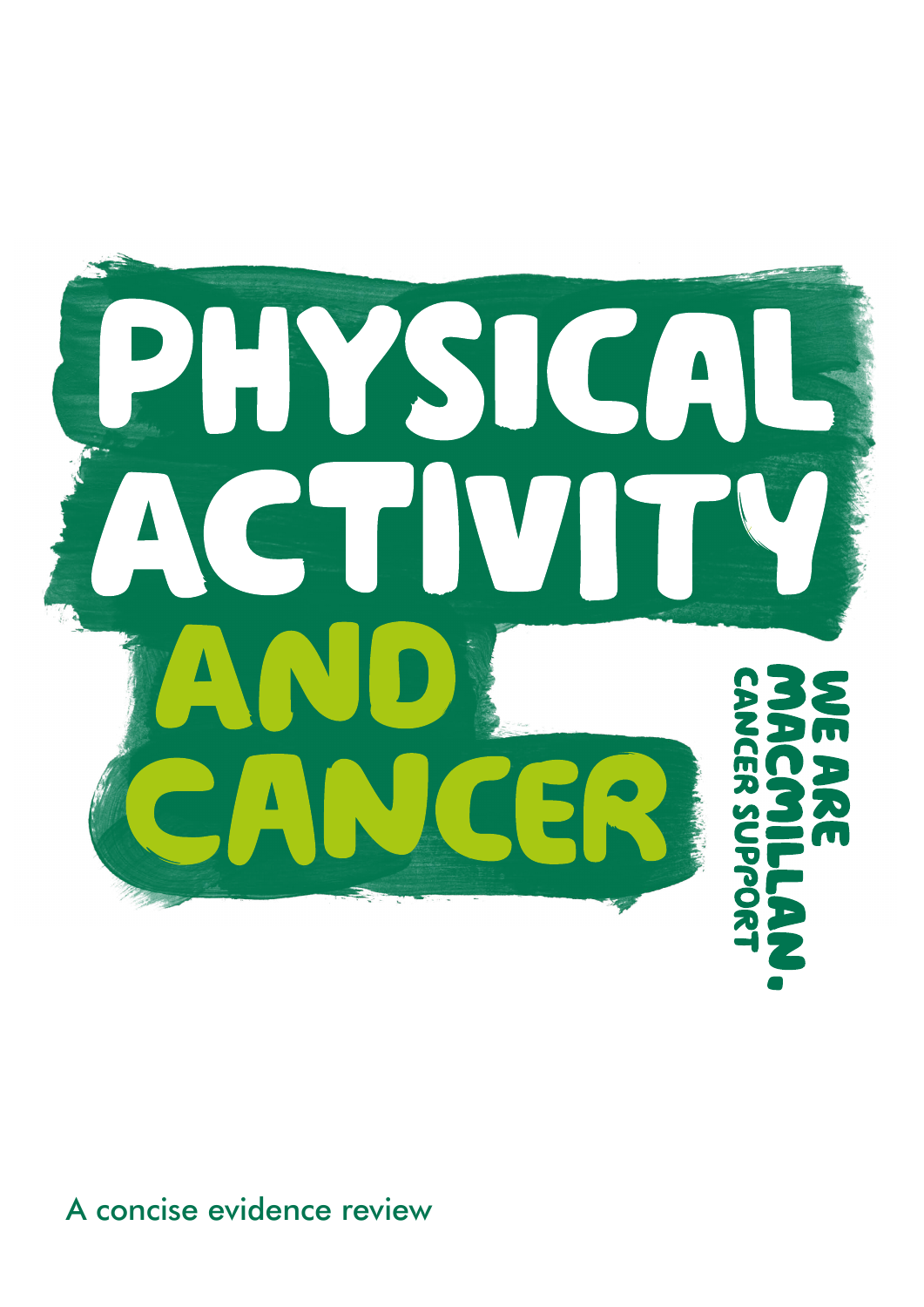

### A concise evidence review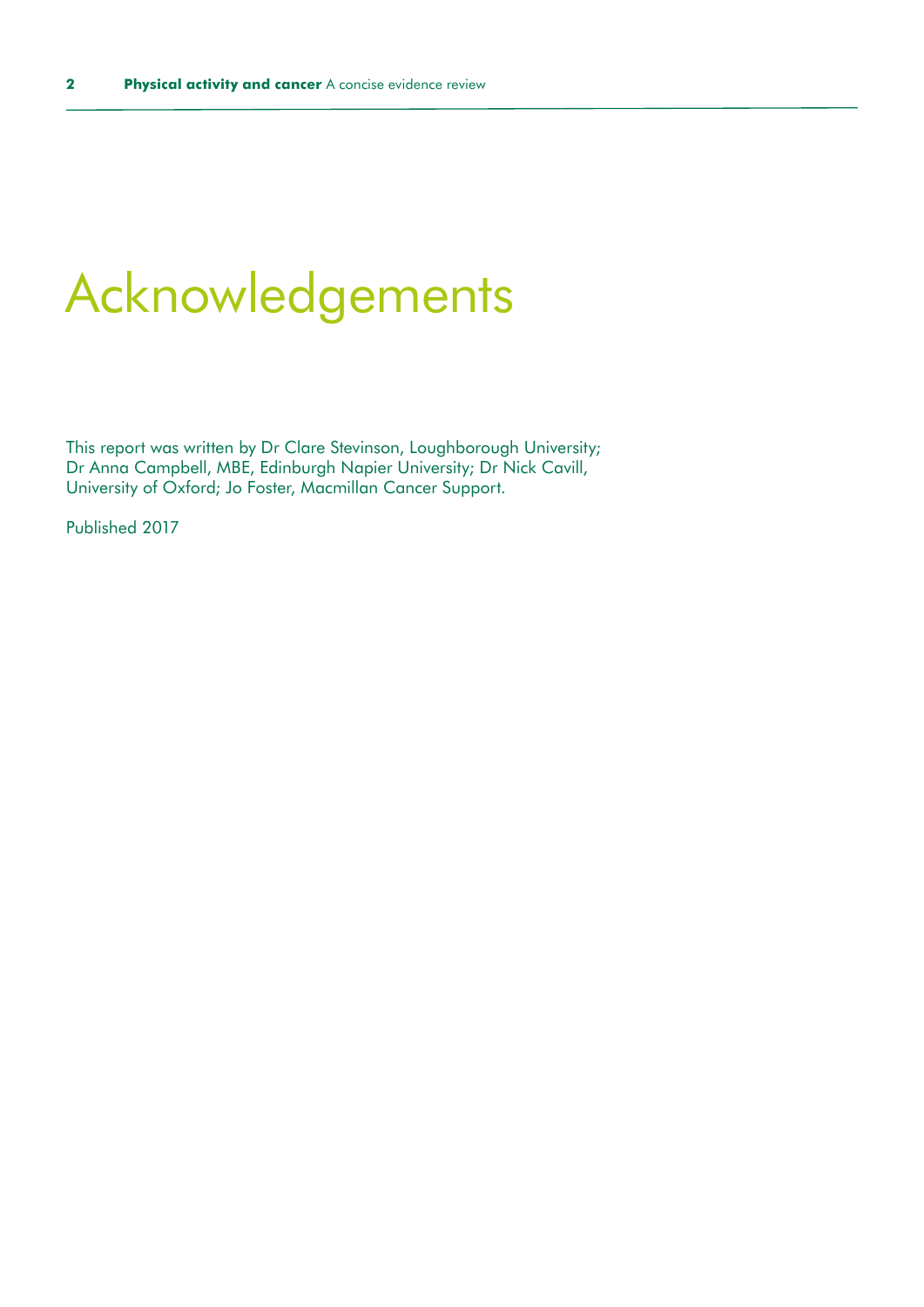### Acknowledgements

This report was written by Dr Clare Stevinson, Loughborough University; Dr Anna Campbell, MBE, Edinburgh Napier University; Dr Nick Cavill, University of Oxford; Jo Foster, Macmillan Cancer Support.

Published 2017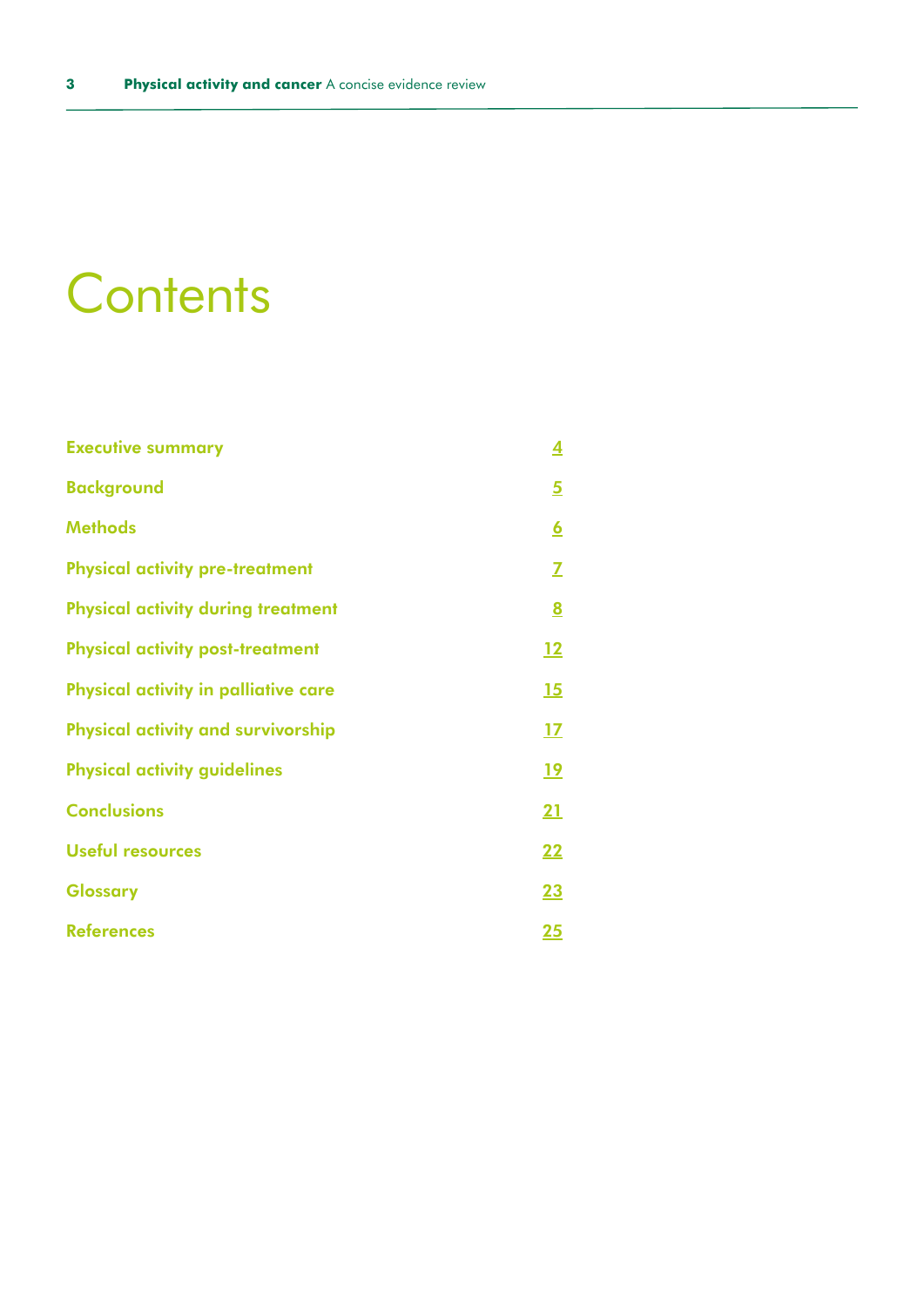# **Contents**

| <b>Executive summary</b>                  | 4                        |
|-------------------------------------------|--------------------------|
| <b>Background</b>                         | <u>5</u>                 |
| <b>Methods</b>                            | <u> 6</u>                |
| <b>Physical activity pre-treatment</b>    | Z                        |
| <b>Physical activity during treatment</b> | $\underline{\mathbf{8}}$ |
| <b>Physical activity post-treatment</b>   | 12                       |
| Physical activity in palliative care      | <u>15</u>                |
| <b>Physical activity and survivorship</b> | 17                       |
| <b>Physical activity guidelines</b>       | <u>19</u>                |
| <b>Conclusions</b>                        | <u>21</u>                |
| <b>Useful resources</b>                   | <u>22</u>                |
| <b>Glossary</b>                           | <u>23</u>                |
| <b>References</b>                         | <u> 25</u>               |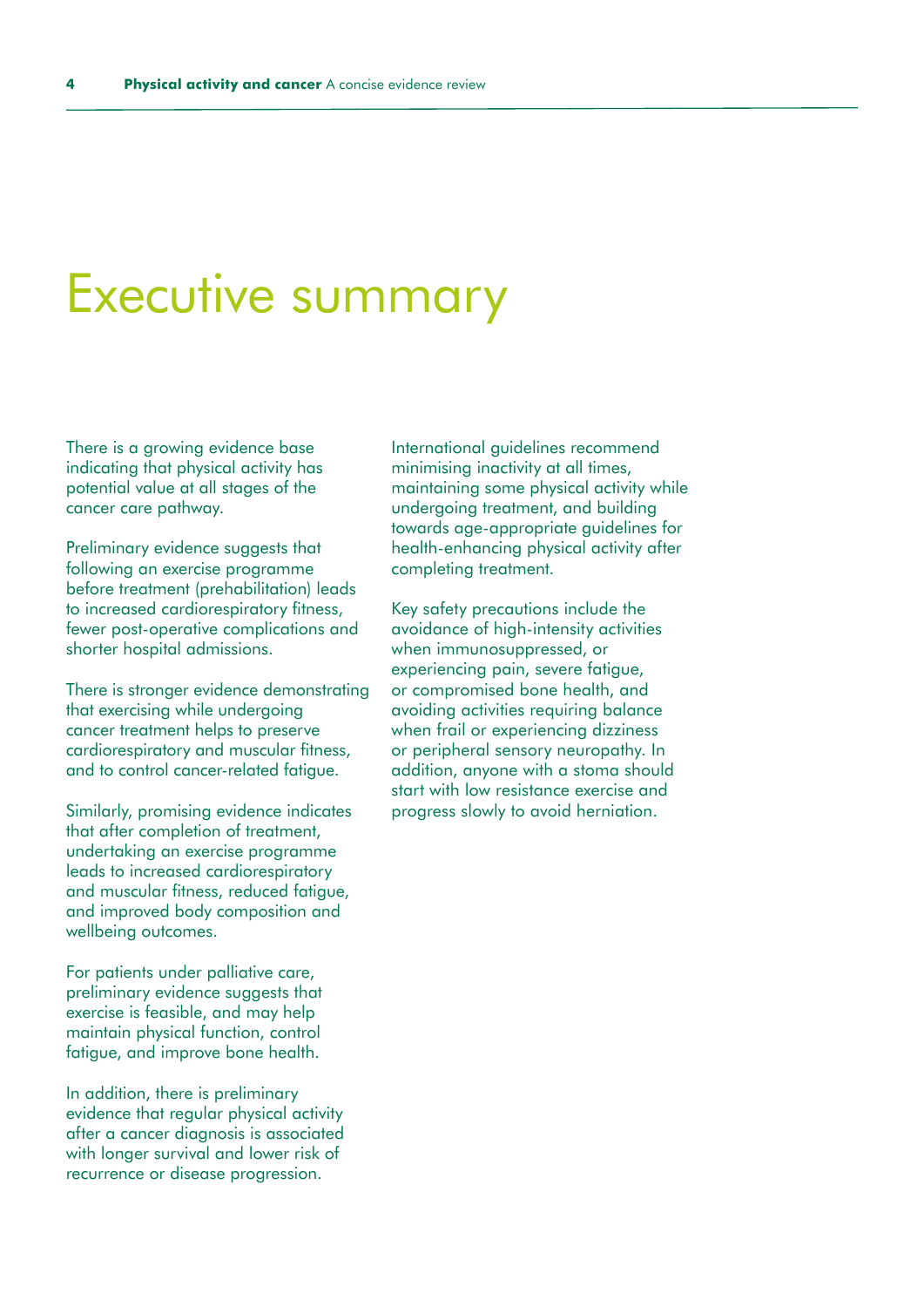### <span id="page-3-0"></span>Executive summary

There is a growing evidence base indicating that physical activity has potential value at all stages of the cancer care pathway.

Preliminary evidence suggests that following an exercise programme before treatment (prehabilitation) leads to increased cardiorespiratory fitness, fewer post-operative complications and shorter hospital admissions.

There is stronger evidence demonstrating that exercising while undergoing cancer treatment helps to preserve cardiorespiratory and muscular fitness, and to control cancer-related fatigue.

Similarly, promising evidence indicates that after completion of treatment, undertaking an exercise programme leads to increased cardiorespiratory and muscular fitness, reduced fatigue, and improved body composition and wellbeing outcomes.

For patients under palliative care, preliminary evidence suggests that exercise is feasible, and may help maintain physical function, control fatigue, and improve bone health.

In addition, there is preliminary evidence that regular physical activity after a cancer diagnosis is associated with longer survival and lower risk of recurrence or disease progression.

International guidelines recommend minimising inactivity at all times, maintaining some physical activity while undergoing treatment, and building towards age-appropriate guidelines for health-enhancing physical activity after completing treatment.

Key safety precautions include the avoidance of high-intensity activities when immunosuppressed, or experiencing pain, severe fatigue, or compromised bone health, and avoiding activities requiring balance when frail or experiencing dizziness or peripheral sensory neuropathy. In addition, anyone with a stoma should start with low resistance exercise and progress slowly to avoid herniation.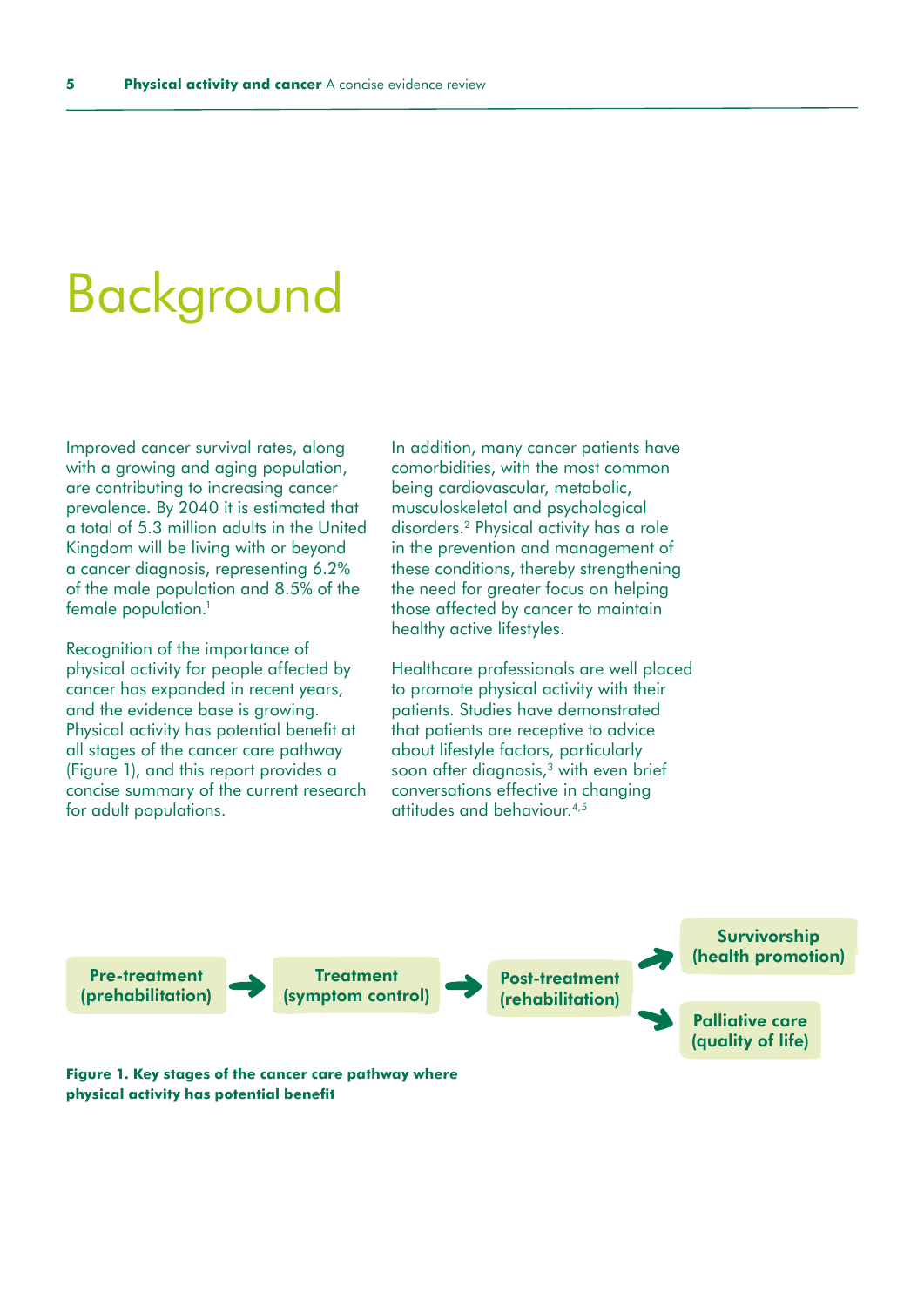### <span id="page-4-0"></span>Background

Improved cancer survival rates, along with a growing and aging population, are contributing to increasing cancer prevalence. By 2040 it is estimated that a total of 5.3 million adults in the United Kingdom will be living with or beyond a cancer diagnosis, representing 6.2% of the male population and 8.5% of the female population.<sup>1</sup>

Recognition of the importance of physical activity for people affected by cancer has expanded in recent years, and the evidence base is growing. Physical activity has potential benefit at all stages of the cancer care pathway (Figure 1), and this report provides a concise summary of the current research for adult populations.

In addition, many cancer patients have comorbidities, with the most common being cardiovascular, metabolic, musculoskeletal and psychological disorders.2 Physical activity has a role in the prevention and management of these conditions, thereby strengthening the need for greater focus on helping those affected by cancer to maintain healthy active lifestyles.

Healthcare professionals are well placed to promote physical activity with their patients. Studies have demonstrated that patients are receptive to advice about lifestyle factors, particularly soon after diagnosis, $3$  with even brief conversations effective in changing attitudes and behaviour.4,5

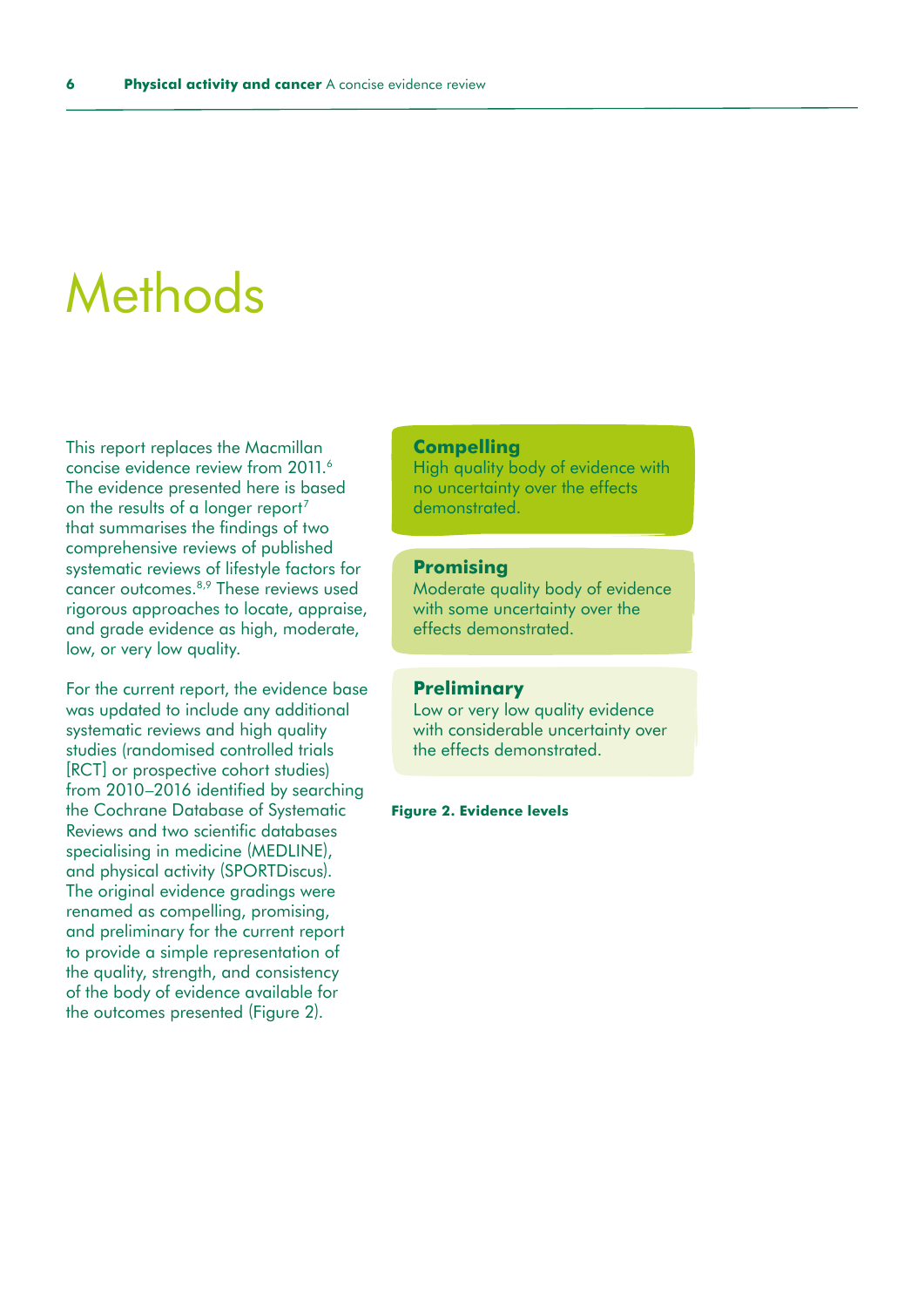### <span id="page-5-0"></span>**Methods**

This report replaces the Macmillan concise evidence review from 2011.6 The evidence presented here is based on the results of a longer report<sup>7</sup> that summarises the findings of two comprehensive reviews of published systematic reviews of lifestyle factors for cancer outcomes.8,9 These reviews used rigorous approaches to locate, appraise, and grade evidence as high, moderate, low, or very low quality.

For the current report, the evidence base was updated to include any additional systematic reviews and high quality studies (randomised controlled trials [RCT] or prospective cohort studies) from 2010–2016 identified by searching the Cochrane Database of Systematic Reviews and two scientific databases specialising in medicine (MEDLINE), and physical activity (SPORTDiscus). The original evidence gradings were renamed as compelling, promising, and preliminary for the current report to provide a simple representation of the quality, strength, and consistency of the body of evidence available for the outcomes presented (Figure 2).

### **Compelling**

High quality body of evidence with no uncertainty over the effects demonstrated.

### **Promising**

Moderate quality body of evidence with some uncertainty over the effects demonstrated.

### **Preliminary**

Low or very low quality evidence with considerable uncertainty over the effects demonstrated.

#### **Figure 2. Evidence levels**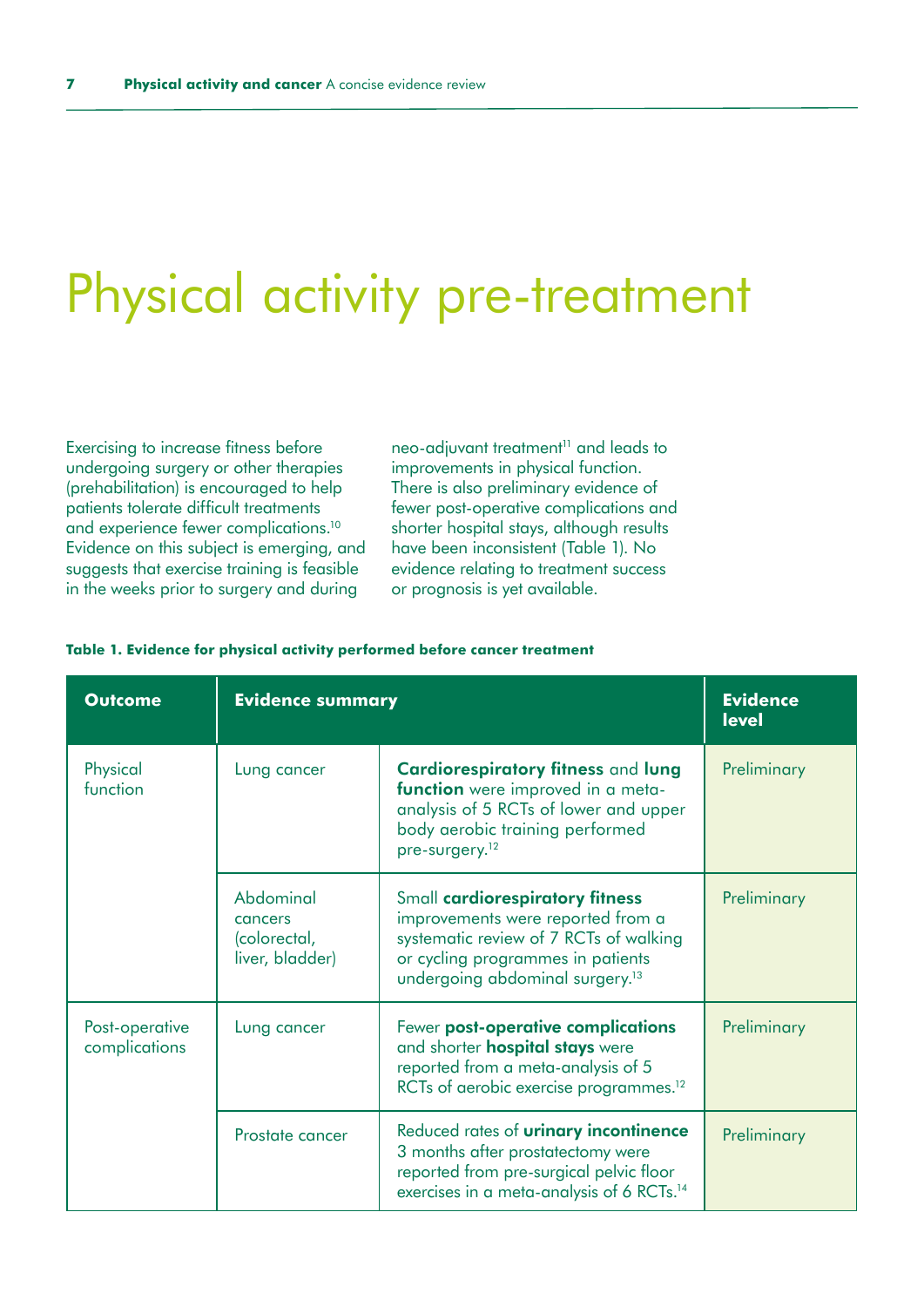### <span id="page-6-0"></span>Physical activity pre-treatment

Exercising to increase fitness before undergoing surgery or other therapies (prehabilitation) is encouraged to help patients tolerate difficult treatments and experience fewer complications.10 Evidence on this subject is emerging, and suggests that exercise training is feasible in the weeks prior to surgery and during

neo-adjuvant treatment<sup>11</sup> and leads to improvements in physical function. There is also preliminary evidence of fewer post-operative complications and shorter hospital stays, although results have been inconsistent (Table 1). No evidence relating to treatment success or prognosis is yet available.

#### **Table 1. Evidence for physical activity performed before cancer treatment**

| <b>Outcome</b>                  | <b>Evidence summary</b>                                 |                                                                                                                                                                                                    | <b>Evidence</b><br><b>level</b> |
|---------------------------------|---------------------------------------------------------|----------------------------------------------------------------------------------------------------------------------------------------------------------------------------------------------------|---------------------------------|
| Physical<br>function            | Lung cancer                                             | Cardiorespiratory fitness and lung<br>function were improved in a meta-<br>analysis of 5 RCTs of lower and upper<br>body aerobic training performed<br>pre-surgery. <sup>12</sup>                  | Preliminary                     |
|                                 | Abdominal<br>cancers<br>(colorectal,<br>liver, bladder) | Small cardiorespiratory fitness<br>improvements were reported from a<br>systematic review of 7 RCTs of walking<br>or cycling programmes in patients<br>undergoing abdominal surgery. <sup>13</sup> | Preliminary                     |
| Post-operative<br>complications | Lung cancer                                             | Fewer post-operative complications<br>and shorter <b>hospital stays</b> were<br>reported from a meta-analysis of 5<br>RCTs of aerobic exercise programmes. <sup>12</sup>                           | Preliminary                     |
|                                 | Prostate cancer                                         | Reduced rates of <b>urinary incontinence</b><br>3 months after prostatectomy were<br>reported from pre-surgical pelvic floor<br>exercises in a meta-analysis of 6 RCTs. <sup>14</sup>              | Preliminary                     |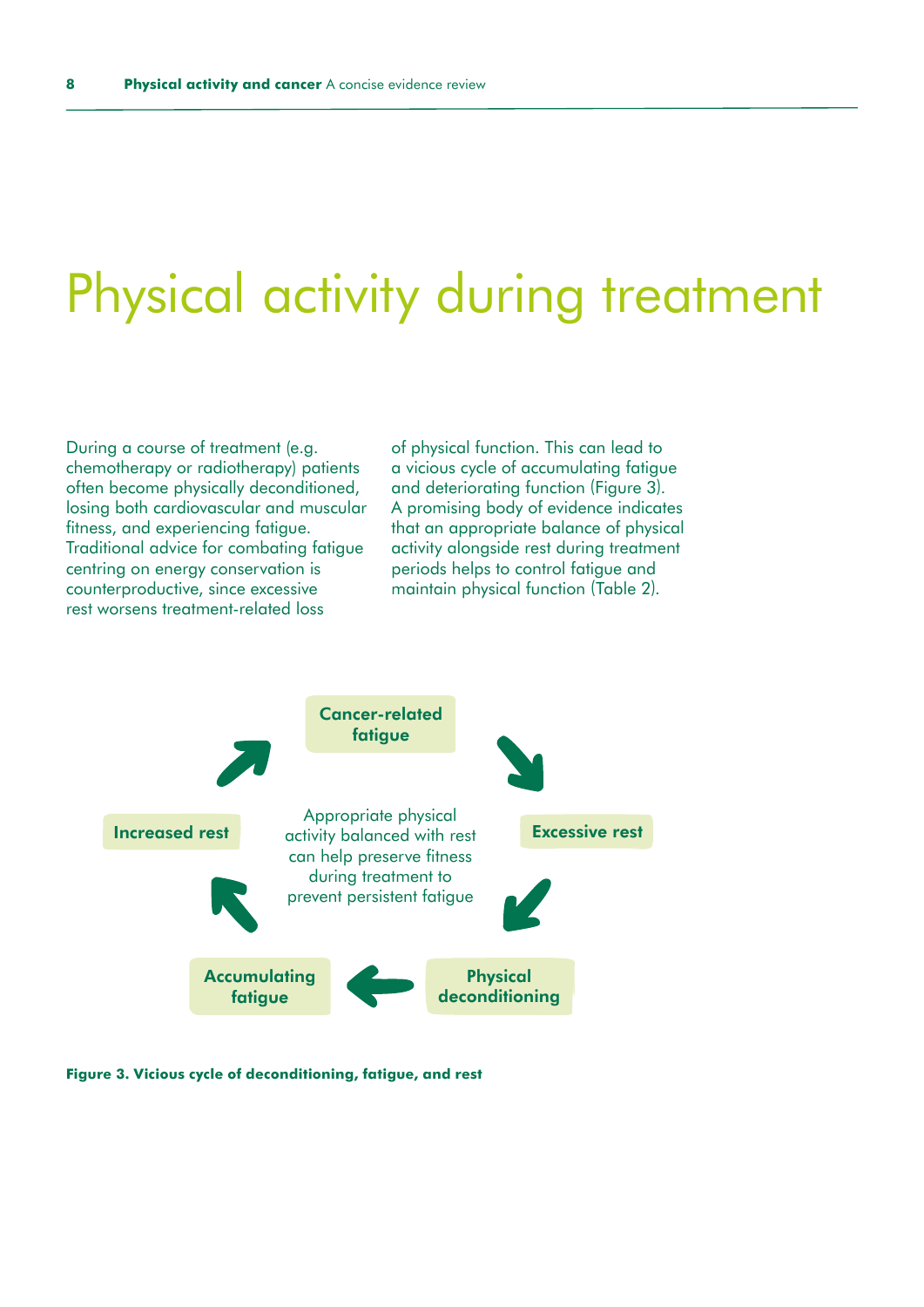### <span id="page-7-0"></span>Physical activity during treatment

During a course of treatment (e.g. chemotherapy or radiotherapy) patients often become physically deconditioned, losing both cardiovascular and muscular fitness, and experiencing fatigue. Traditional advice for combating fatigue centring on energy conservation is counterproductive, since excessive rest worsens treatment-related loss

of physical function. This can lead to a vicious cycle of accumulating fatigue and deteriorating function (Figure 3). A promising body of evidence indicates that an appropriate balance of physical activity alongside rest during treatment periods helps to control fatigue and maintain physical function (Table 2).



**Figure 3. Vicious cycle of deconditioning, fatigue, and rest**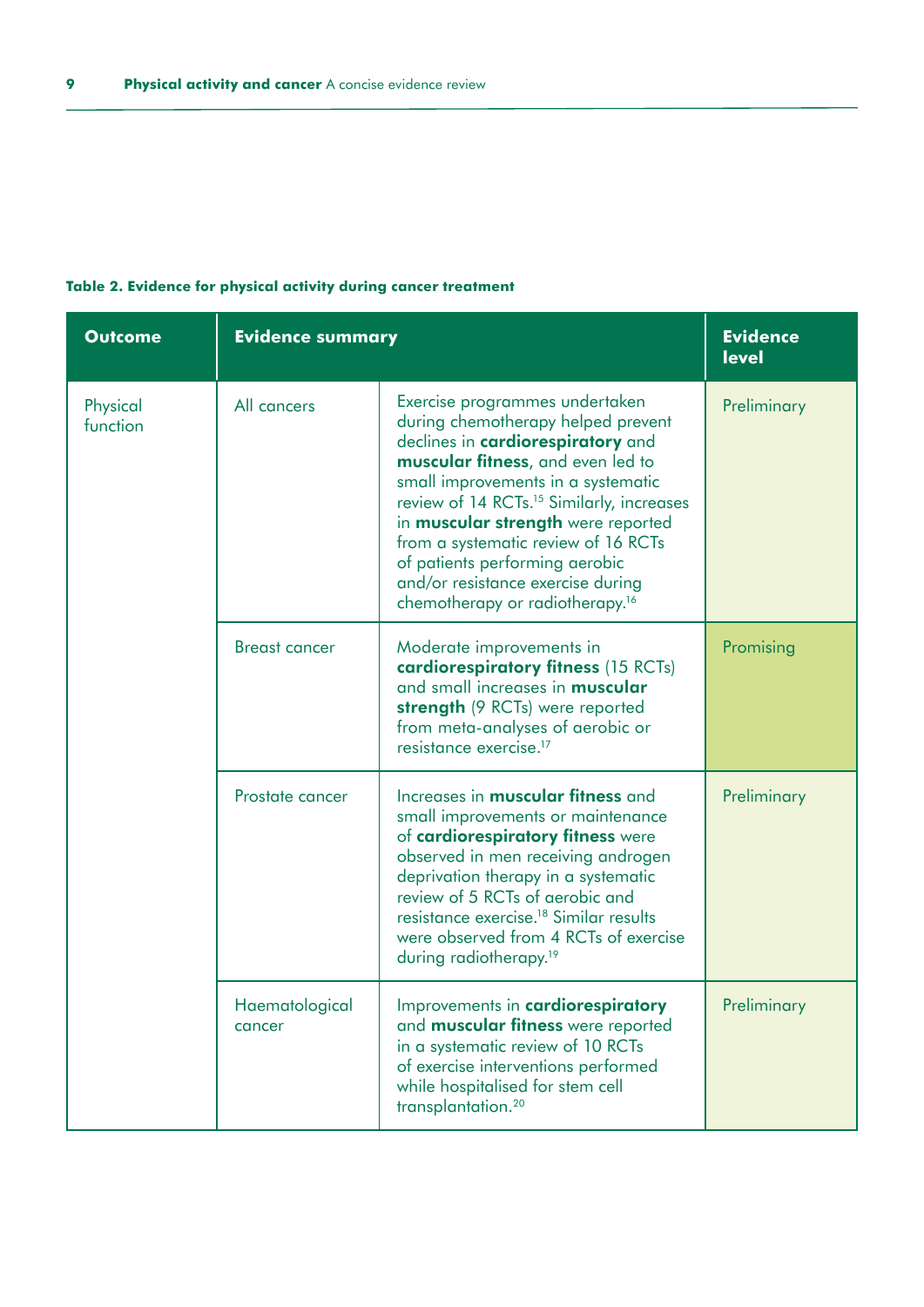| <b>Outcome</b>       | <b>Evidence summary</b>  |                                                                                                                                                                                                                                                                                                                                                                                                                                                         | <b>Evidence</b><br><b>level</b> |
|----------------------|--------------------------|---------------------------------------------------------------------------------------------------------------------------------------------------------------------------------------------------------------------------------------------------------------------------------------------------------------------------------------------------------------------------------------------------------------------------------------------------------|---------------------------------|
| Physical<br>function | All cancers              | Exercise programmes undertaken<br>during chemotherapy helped prevent<br>declines in cardiorespiratory and<br>muscular fitness, and even led to<br>small improvements in a systematic<br>review of 14 RCTs. <sup>15</sup> Similarly, increases<br>in <b>muscular strength</b> were reported<br>from a systematic review of 16 RCTs<br>of patients performing aerobic<br>and/or resistance exercise during<br>chemotherapy or radiotherapy. <sup>16</sup> | Preliminary                     |
|                      | <b>Breast cancer</b>     | Moderate improvements in<br>cardiorespiratory fitness (15 RCTs)<br>and small increases in <b>muscular</b><br>strength (9 RCTs) were reported<br>from meta-analyses of aerobic or<br>resistance exercise. <sup>17</sup>                                                                                                                                                                                                                                  | Promising                       |
|                      | Prostate cancer          | Increases in <b>muscular fitness</b> and<br>small improvements or maintenance<br>of cardiorespiratory fitness were<br>observed in men receiving androgen<br>deprivation therapy in a systematic<br>review of 5 RCTs of aerobic and<br>resistance exercise. <sup>18</sup> Similar results<br>were observed from 4 RCTs of exercise<br>during radiotherapy. <sup>19</sup>                                                                                 | Preliminary                     |
|                      | Haematological<br>cancer | Improvements in cardiorespiratory<br>and <b>muscular fitness</b> were reported<br>in a systematic review of 10 RCTs<br>of exercise interventions performed<br>while hospitalised for stem cell<br>transplantation. <sup>20</sup>                                                                                                                                                                                                                        | Preliminary                     |

### **Table 2. Evidence for physical activity during cancer treatment**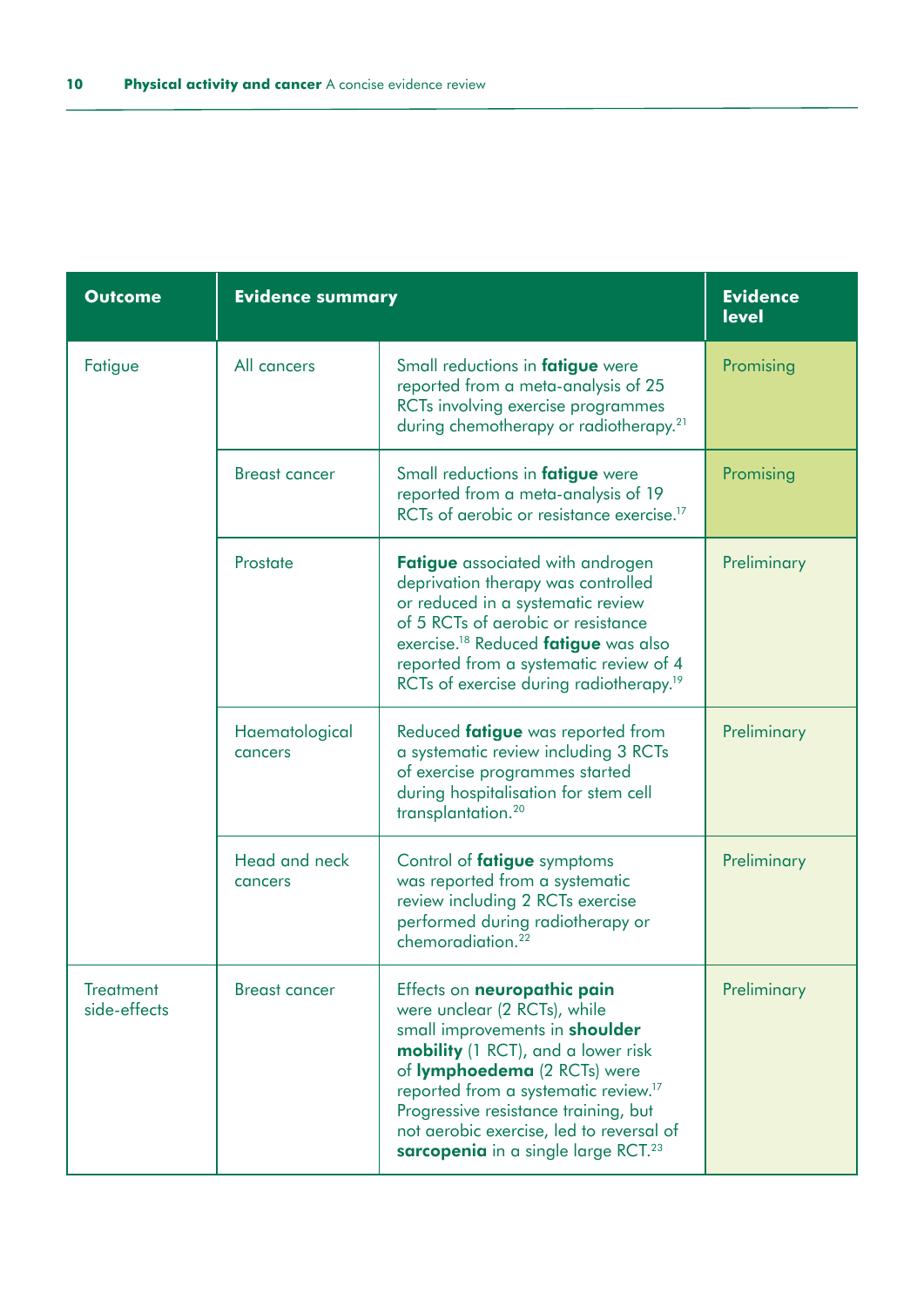| <b>Outcome</b>                   | <b>Evidence summary</b>   |                                                                                                                                                                                                                                                                                                                                                                              | <b>Evidence</b><br><b>level</b> |
|----------------------------------|---------------------------|------------------------------------------------------------------------------------------------------------------------------------------------------------------------------------------------------------------------------------------------------------------------------------------------------------------------------------------------------------------------------|---------------------------------|
| Fatigue                          | All cancers               | Small reductions in fatigue were<br>reported from a meta-analysis of 25<br>RCTs involving exercise programmes<br>during chemotherapy or radiotherapy. <sup>21</sup>                                                                                                                                                                                                          | Promising                       |
|                                  | <b>Breast cancer</b>      | Small reductions in fatigue were<br>reported from a meta-analysis of 19<br>RCTs of gerobic or resistance exercise. <sup>17</sup>                                                                                                                                                                                                                                             | Promising                       |
|                                  | Prostate                  | <b>Fatigue</b> associated with androgen<br>deprivation therapy was controlled<br>or reduced in a systematic review<br>of 5 RCTs of aerobic or resistance<br>exercise. <sup>18</sup> Reduced fatigue was also<br>reported from a systematic review of 4<br>RCTs of exercise during radiotherapy. <sup>19</sup>                                                                | Preliminary                     |
|                                  | Haematological<br>cancers | Reduced fatigue was reported from<br>a systematic review including 3 RCTs<br>of exercise programmes started<br>during hospitalisation for stem cell<br>transplantation. <sup>20</sup>                                                                                                                                                                                        | Preliminary                     |
|                                  | Head and neck<br>cancers  | Control of <b>fatigue</b> symptoms<br>was reported from a systematic<br>review including 2 RCTs exercise<br>performed during radiotherapy or<br>chemoradiation. <sup>22</sup>                                                                                                                                                                                                | Preliminary                     |
| <b>Treatment</b><br>side-effects | <b>Breast cancer</b>      | Effects on neuropathic pain<br>were unclear (2 RCTs), while<br>small improvements in <b>shoulder</b><br><b>mobility</b> (1 RCT), and a lower risk<br>of lymphoedema (2 RCTs) were<br>reported from a systematic review. <sup>17</sup><br>Progressive resistance training, but<br>not aerobic exercise, led to reversal of<br>sarcopenia in a single large RCT. <sup>23</sup> | Preliminary                     |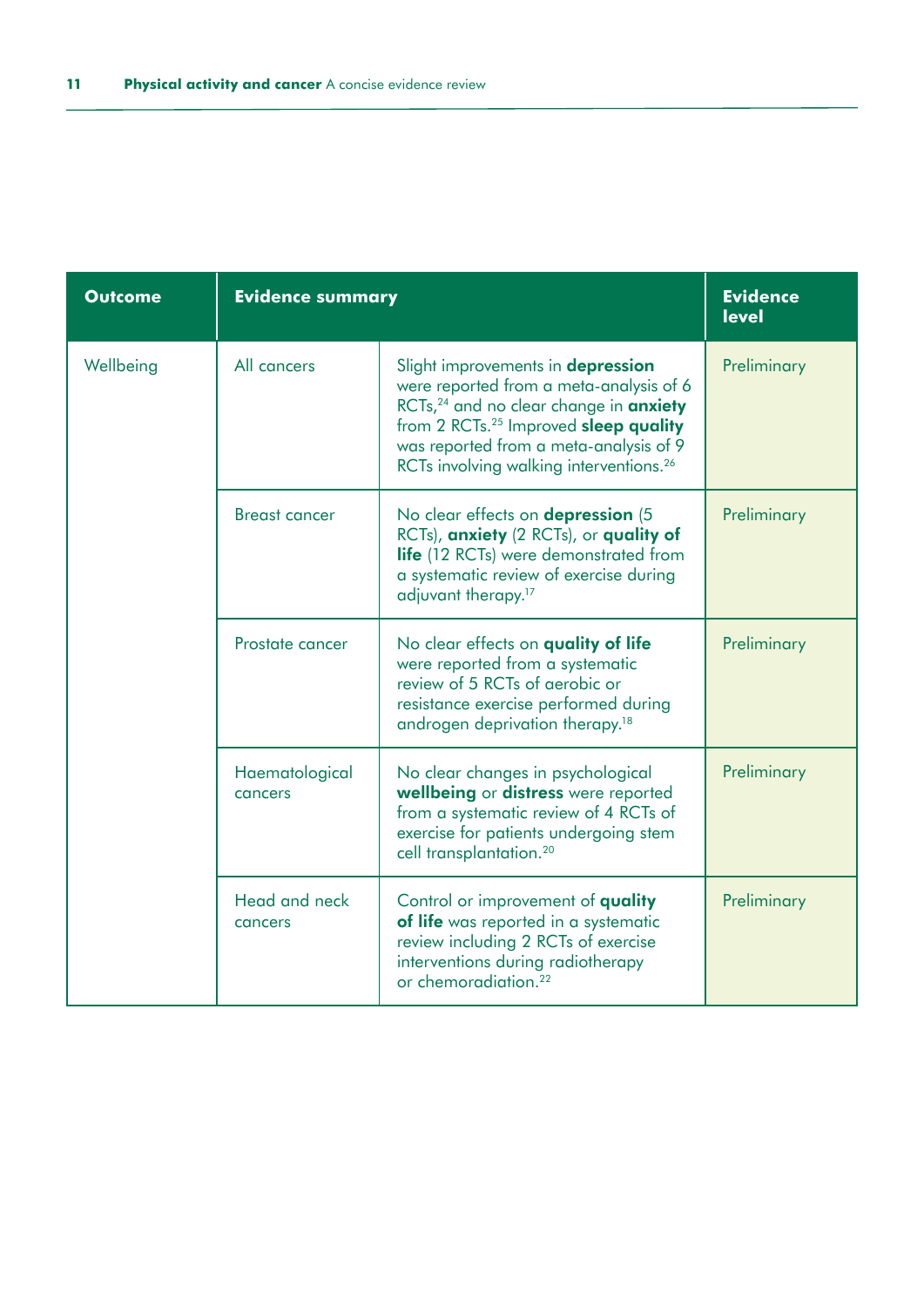| <b>Outcome</b> | <b>Evidence summary</b>   |                                                                                                                                                                                                                                                                                                 | <b>Evidence</b><br><b>level</b> |
|----------------|---------------------------|-------------------------------------------------------------------------------------------------------------------------------------------------------------------------------------------------------------------------------------------------------------------------------------------------|---------------------------------|
| Wellbeing      | All cancers               | Slight improvements in depression<br>were reported from a meta-analysis of 6<br>RCTs, <sup>24</sup> and no clear change in <b>anxiety</b><br>from 2 RCTs. <sup>25</sup> Improved sleep quality<br>was reported from a meta-analysis of 9<br>RCTs involving walking interventions. <sup>26</sup> | Preliminary                     |
|                | <b>Breast cancer</b>      | No clear effects on <b>depression</b> (5<br>RCTs), anxiety (2 RCTs), or quality of<br>life (12 RCTs) were demonstrated from<br>a systematic review of exercise during<br>adjuvant therapy. <sup>17</sup>                                                                                        | Preliminary                     |
|                | Prostate cancer           | No clear effects on quality of life<br>were reported from a systematic<br>review of 5 RCTs of gerobic or<br>resistance exercise performed during<br>androgen deprivation therapy. <sup>18</sup>                                                                                                 | Preliminary                     |
|                | Haematological<br>cancers | No clear changes in psychological<br>wellbeing or distress were reported<br>from a systematic review of 4 RCTs of<br>exercise for patients undergoing stem<br>cell transplantation. <sup>20</sup>                                                                                               | Preliminary                     |
|                | Head and neck<br>cancers  | Control or improvement of quality<br>of life was reported in a systematic<br>review including 2 RCTs of exercise<br>interventions during radiotherapy<br>or chemoradiation. <sup>22</sup>                                                                                                       | Preliminary                     |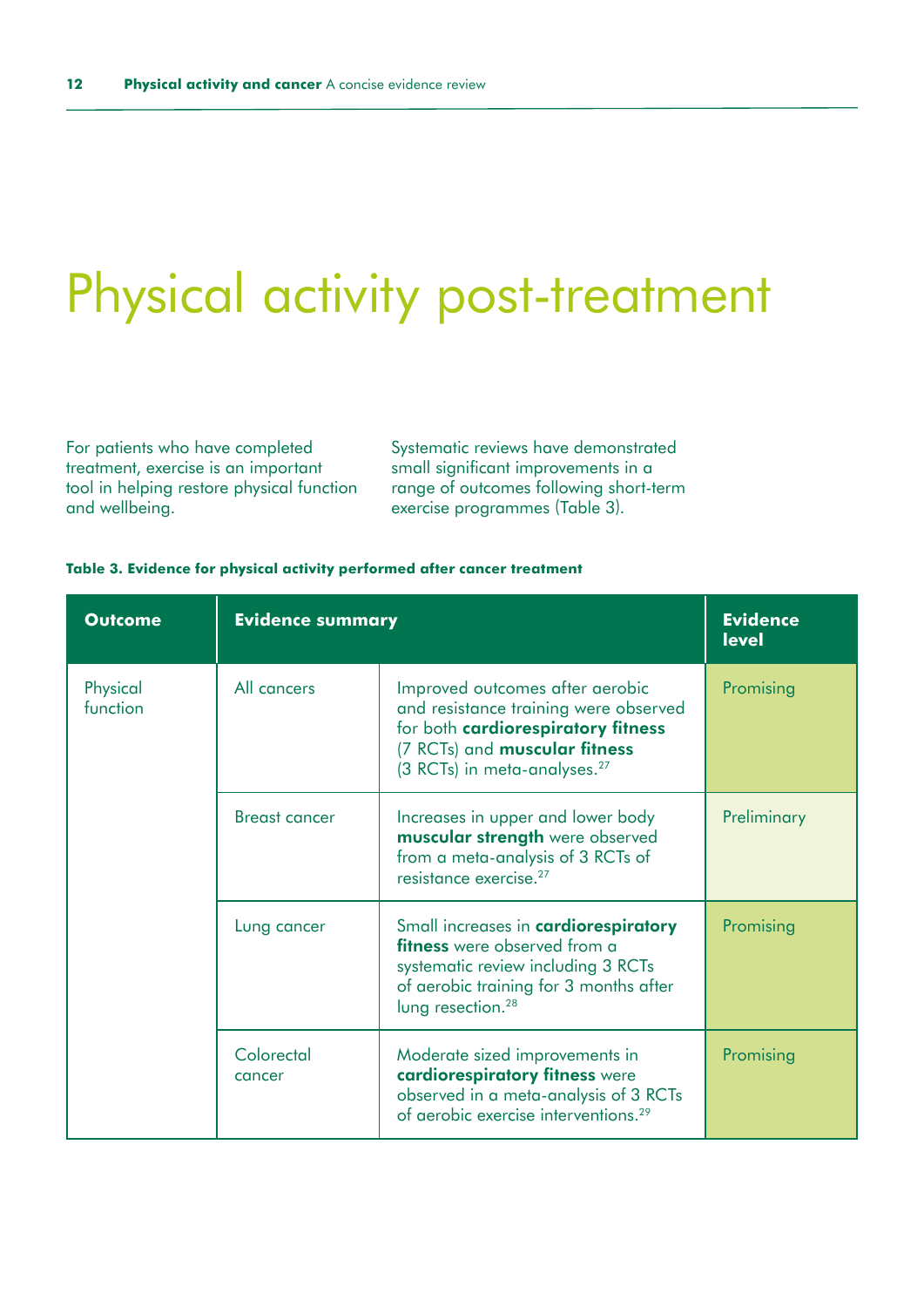# <span id="page-11-0"></span>Physical activity post-treatment

For patients who have completed treatment, exercise is an important tool in helping restore physical function and wellbeing.

Systematic reviews have demonstrated small significant improvements in a range of outcomes following short-term exercise programmes (Table 3).

### **Table 3. Evidence for physical activity performed after cancer treatment**

| <b>Outcome</b>       | <b>Evidence summary</b> |                                                                                                                                                                                              | <b>Evidence</b><br><b>level</b> |
|----------------------|-------------------------|----------------------------------------------------------------------------------------------------------------------------------------------------------------------------------------------|---------------------------------|
| Physical<br>function | All cancers             | Improved outcomes after aerobic<br>and resistance training were observed<br>for both cardiorespiratory fitness<br>(7 RCTs) and muscular fitness<br>(3 RCTs) in meta-analyses. <sup>27</sup>  | Promising                       |
|                      | <b>Breast cancer</b>    | Increases in upper and lower body<br>muscular strength were observed<br>from a meta-analysis of 3 RCTs of<br>resistance exercise. <sup>27</sup>                                              | Preliminary                     |
|                      | Lung cancer             | Small increases in cardiorespiratory<br><b>fitness</b> were observed from a<br>systematic review including 3 RCTs<br>of aerobic training for 3 months after<br>lung resection. <sup>28</sup> | Promising                       |
|                      | Colorectal<br>cancer    | Moderate sized improvements in<br>cardiorespiratory fitness were<br>observed in a meta-analysis of 3 RCTs<br>of aerobic exercise interventions. <sup>29</sup>                                | Promising                       |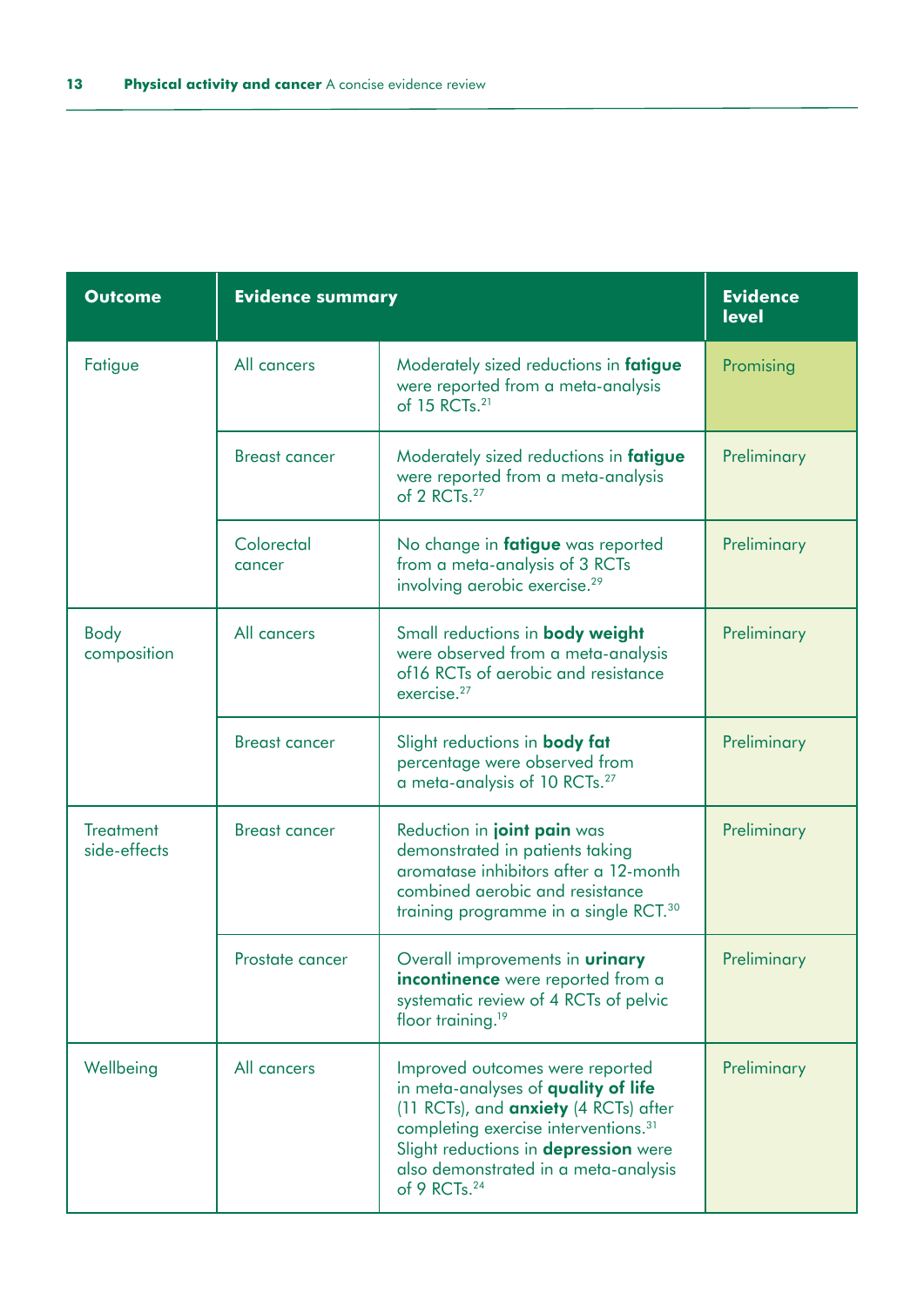| <b>Outcome</b>                   | <b>Evidence summary</b> |                                                                                                                                                                                                                                                                                        | <b>Evidence</b><br><b>level</b> |
|----------------------------------|-------------------------|----------------------------------------------------------------------------------------------------------------------------------------------------------------------------------------------------------------------------------------------------------------------------------------|---------------------------------|
| Fatigue                          | All cancers             | Moderately sized reductions in fatigue<br>were reported from a meta-analysis<br>of 15 RCTs. <sup>21</sup>                                                                                                                                                                              | Promising                       |
|                                  | <b>Breast cancer</b>    | Moderately sized reductions in fatigue<br>were reported from a meta-analysis<br>of 2 RCTs. <sup>27</sup>                                                                                                                                                                               | Preliminary                     |
|                                  | Colorectal<br>cancer    | No change in fatigue was reported<br>from a meta-analysis of 3 RCTs<br>involving aerobic exercise. <sup>29</sup>                                                                                                                                                                       | Preliminary                     |
| Body<br>composition              | All cancers             | Small reductions in <b>body weight</b><br>were observed from a meta-analysis<br>of16 RCTs of aerobic and resistance<br>exercise. <sup>27</sup>                                                                                                                                         | Preliminary                     |
|                                  | <b>Breast cancer</b>    | Slight reductions in <b>body fat</b><br>percentage were observed from<br>a meta-analysis of 10 RCTs. <sup>27</sup>                                                                                                                                                                     | Preliminary                     |
| <b>Treatment</b><br>side-effects | <b>Breast cancer</b>    | Reduction in joint pain was<br>demonstrated in patients taking<br>aromatase inhibitors after a 12-month<br>combined aerobic and resistance<br>training programme in a single RCT. <sup>30</sup>                                                                                        | Preliminary                     |
|                                  | Prostate cancer         | Overall improvements in <b>urinary</b><br><b>incontinence</b> were reported from a<br>systematic review of 4 RCTs of pelvic<br>floor training. <sup>19</sup>                                                                                                                           | Preliminary                     |
| Wellbeing                        | All cancers             | Improved outcomes were reported<br>in meta-analyses of quality of life<br>(11 RCTs), and <b>anxiety</b> (4 RCTs) after<br>completing exercise interventions. <sup>31</sup><br>Slight reductions in depression were<br>also demonstrated in a meta-analysis<br>of 9 RCTs. <sup>24</sup> | Preliminary                     |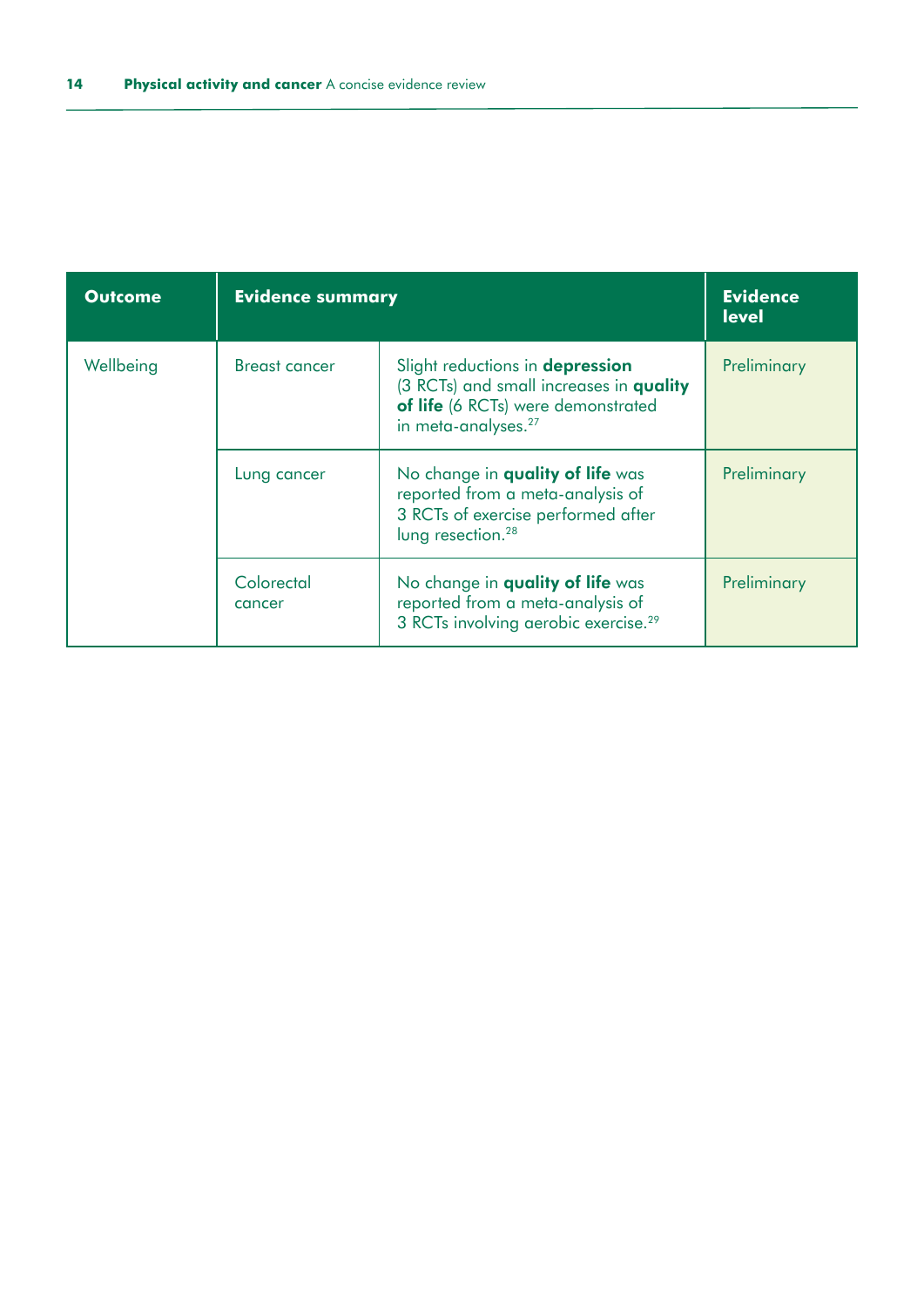| <b>Outcome</b> | <b>Evidence summary</b> |                                                                                                                                                     | <b>Evidence</b><br><b>level</b> |
|----------------|-------------------------|-----------------------------------------------------------------------------------------------------------------------------------------------------|---------------------------------|
| Wellbeing      | Breast cancer           | Slight reductions in depression<br>(3 RCTs) and small increases in quality<br>of life (6 RCTs) were demonstrated<br>in meta-analyses. <sup>27</sup> | Preliminary                     |
|                | Lung cancer             | No change in quality of life was<br>reported from a meta-analysis of<br>3 RCTs of exercise performed after<br>lung resection. <sup>28</sup>         | Preliminary                     |
|                | Colorectal<br>cancer    | No change in quality of life was<br>reported from a meta-analysis of<br>3 RCTs involving aerobic exercise. <sup>29</sup>                            | Preliminary                     |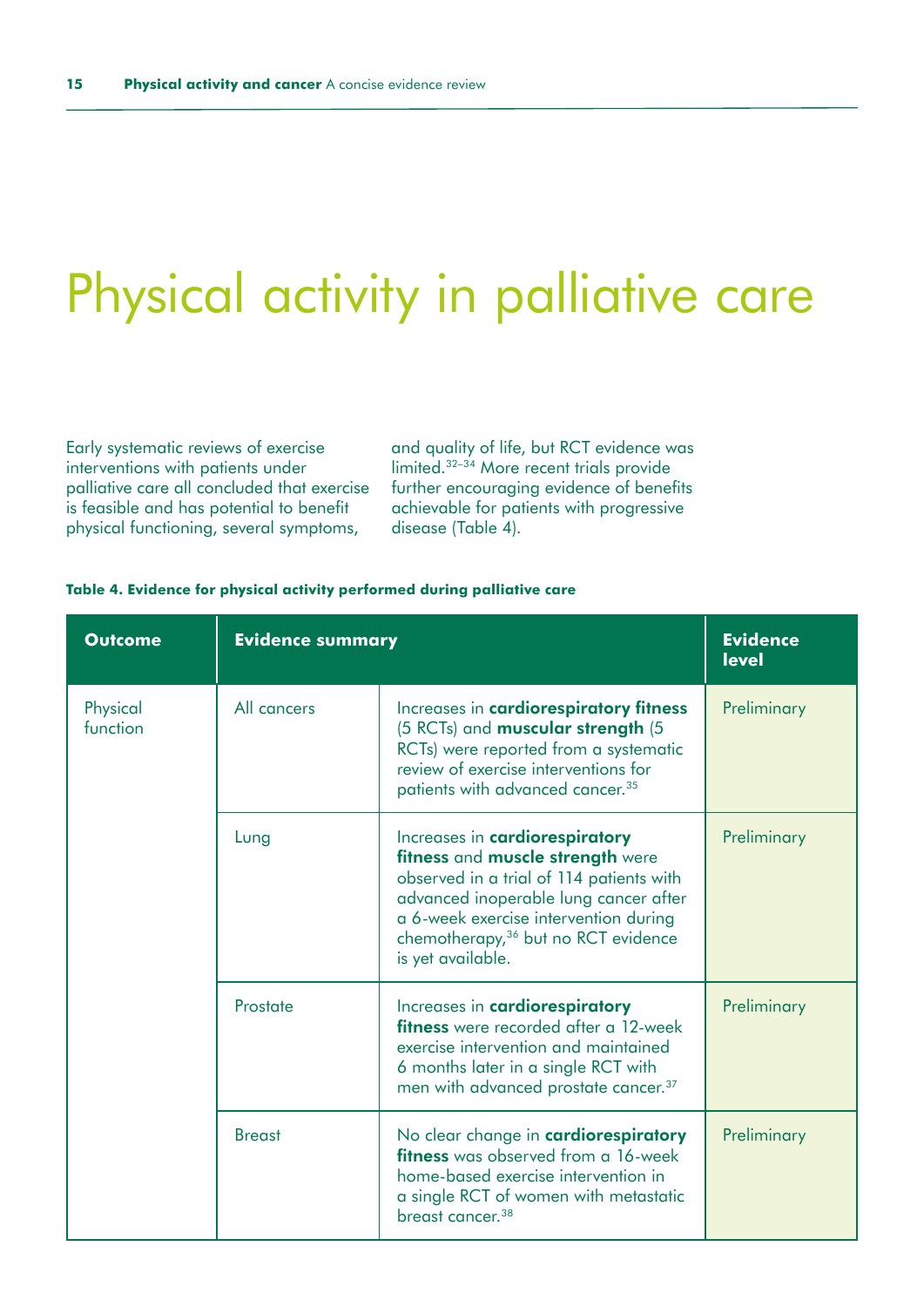# <span id="page-14-0"></span>Physical activity in palliative care

Early systematic reviews of exercise interventions with patients under palliative care all concluded that exercise is feasible and has potential to benefit physical functioning, several symptoms,

and quality of life, but RCT evidence was limited.32–34 More recent trials provide further encouraging evidence of benefits achievable for patients with progressive disease (Table 4).

| <b>Outcome</b>       | <b>Evidence summary</b> |                                                                                                                                                                                                                                                                          | <b>Evidence</b><br><b>level</b> |
|----------------------|-------------------------|--------------------------------------------------------------------------------------------------------------------------------------------------------------------------------------------------------------------------------------------------------------------------|---------------------------------|
| Physical<br>function | All cancers             | Increases in cardiorespiratory fitness<br>(5 RCTs) and muscular strength (5<br>RCTs) were reported from a systematic<br>review of exercise interventions for<br>patients with advanced cancer. <sup>35</sup>                                                             | Preliminary                     |
|                      | Lung                    | Increases in cardiorespiratory<br>fitness and muscle strength were<br>observed in a trial of 114 patients with<br>advanced inoperable lung cancer after<br>a 6-week exercise intervention during<br>chemotherapy, <sup>36</sup> but no RCT evidence<br>is yet available. | Preliminary                     |
|                      | Prostate                | Increases in cardiorespiratory<br>fitness were recorded after a 12-week<br>exercise intervention and maintained<br>6 months later in a single RCT with<br>men with advanced prostate cancer. <sup>37</sup>                                                               | Preliminary                     |
|                      | <b>Breast</b>           | No clear change in cardiorespiratory<br>fitness was observed from a 16-week<br>home-based exercise intervention in<br>a single RCT of women with metastatic<br>breast cancer. <sup>38</sup>                                                                              | Preliminary                     |

#### **Table 4. Evidence for physical activity performed during palliative care**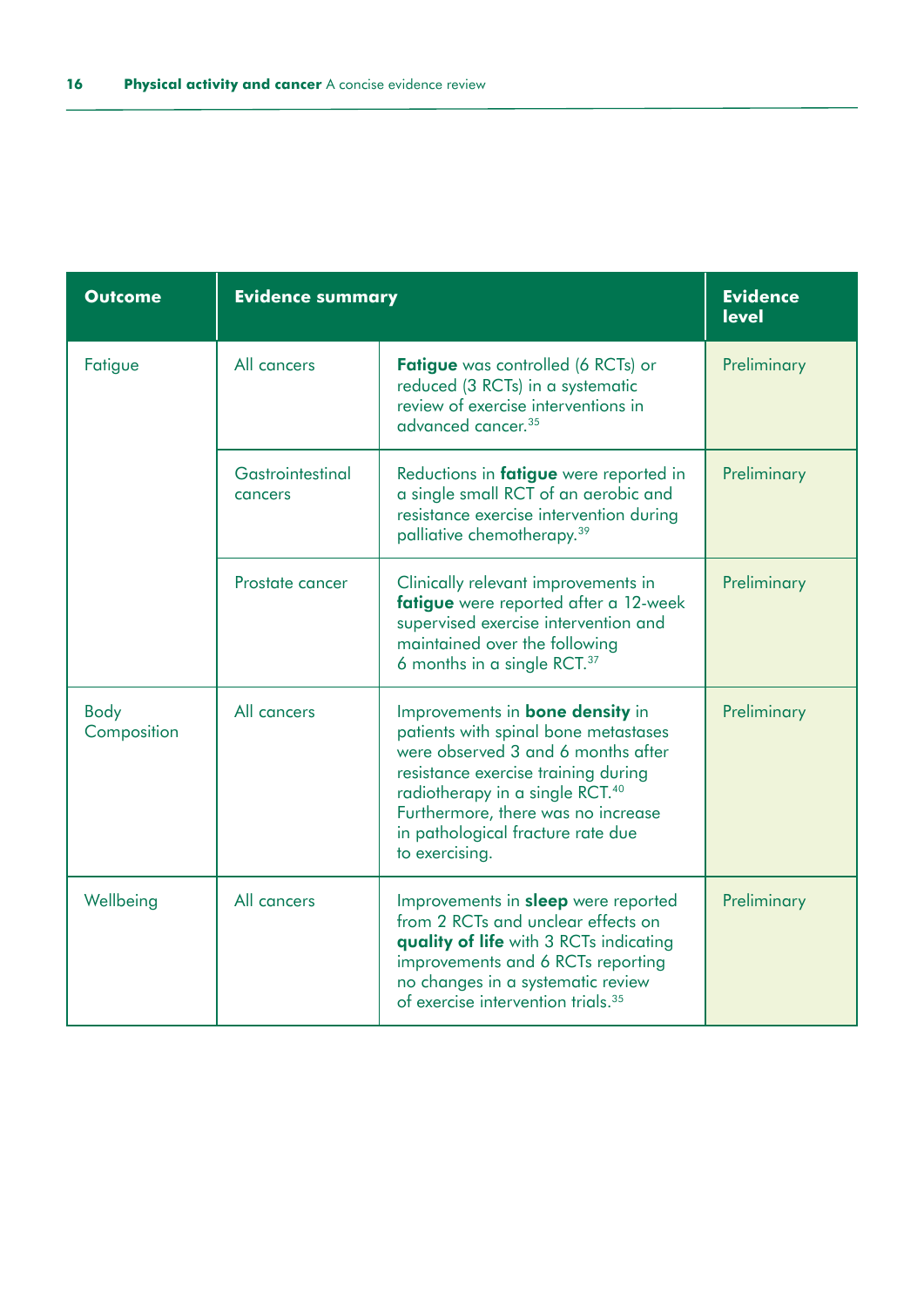| <b>Outcome</b>      | <b>Evidence summary</b>     |                                                                                                                                                                                                                                                                                                         | <b>Evidence</b><br><b>level</b> |
|---------------------|-----------------------------|---------------------------------------------------------------------------------------------------------------------------------------------------------------------------------------------------------------------------------------------------------------------------------------------------------|---------------------------------|
| Fatigue             | All cancers                 | Fatigue was controlled (6 RCTs) or<br>reduced (3 RCTs) in a systematic<br>review of exercise interventions in<br>advanced cancer. <sup>35</sup>                                                                                                                                                         | Preliminary                     |
|                     | Gastrointestinal<br>cancers | Reductions in fatigue were reported in<br>a single small RCT of an aerobic and<br>resistance exercise intervention during<br>palliative chemotherapy. <sup>39</sup>                                                                                                                                     | Preliminary                     |
|                     | Prostate cancer             | Clinically relevant improvements in<br>fatigue were reported after a 12-week<br>supervised exercise intervention and<br>maintained over the following<br>6 months in a single RCT. <sup>37</sup>                                                                                                        | Preliminary                     |
| Body<br>Composition | All cancers                 | Improvements in <b>bone density</b> in<br>patients with spinal bone metastases<br>were observed 3 and 6 months after<br>resistance exercise training during<br>radiotherapy in a single RCT. <sup>40</sup><br>Furthermore, there was no increase<br>in pathological fracture rate due<br>to exercising. | Preliminary                     |
| Wellbeing           | All cancers                 | Improvements in <b>sleep</b> were reported<br>from 2 RCTs and unclear effects on<br>quality of life with 3 RCTs indicating<br>improvements and 6 RCTs reporting<br>no changes in a systematic review<br>of exercise intervention trials. <sup>35</sup>                                                  | Preliminary                     |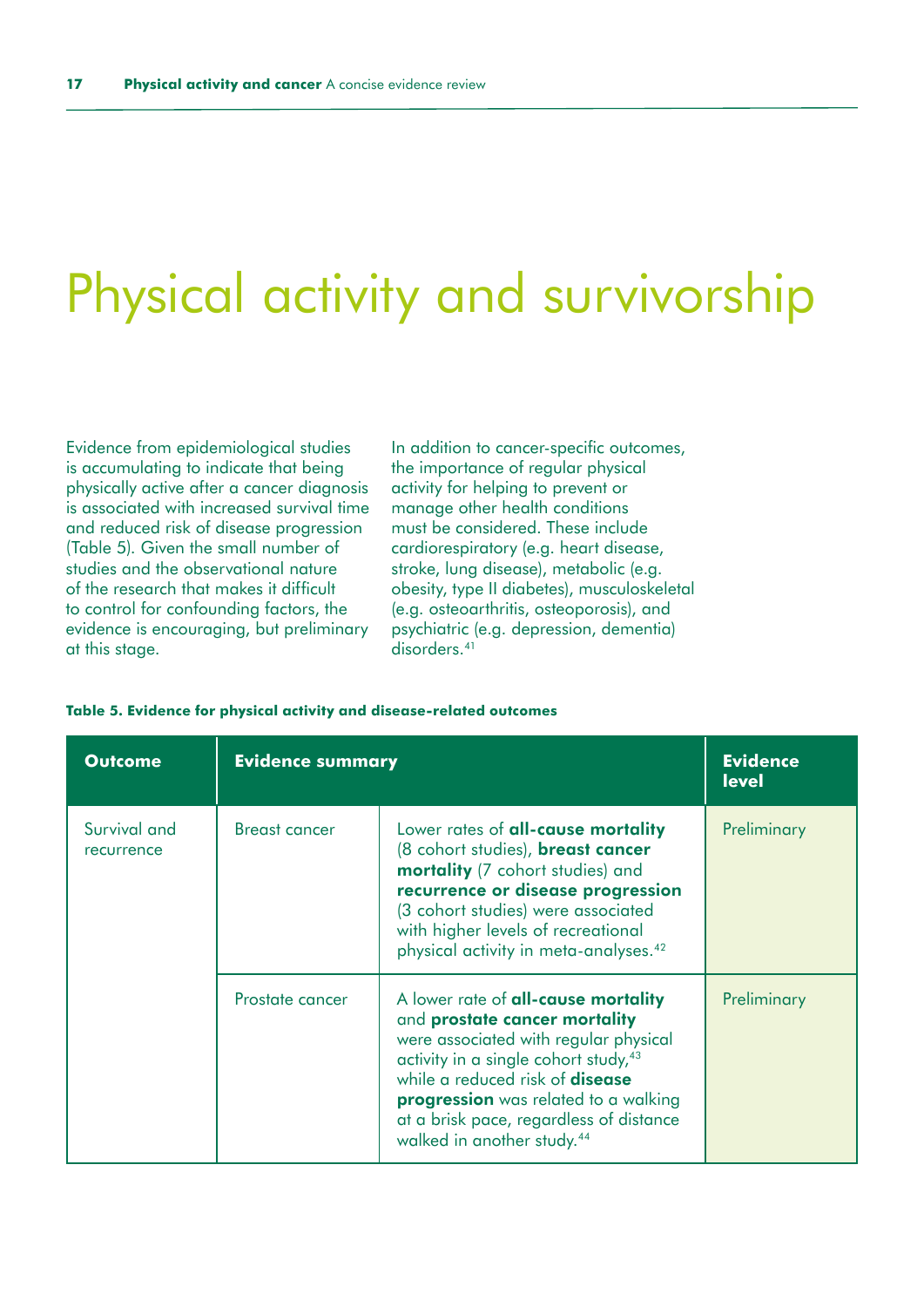### <span id="page-16-0"></span>Physical activity and survivorship

Evidence from epidemiological studies is accumulating to indicate that being physically active after a cancer diagnosis is associated with increased survival time and reduced risk of disease progression (Table 5). Given the small number of studies and the observational nature of the research that makes it difficult to control for confounding factors, the evidence is encouraging, but preliminary at this stage.

In addition to cancer-specific outcomes, the importance of regular physical activity for helping to prevent or manage other health conditions must be considered. These include cardiorespiratory (e.g. heart disease, stroke, lung disease), metabolic (e.g. obesity, type II diabetes), musculoskeletal (e.g. osteoarthritis, osteoporosis), and psychiatric (e.g. depression, dementia) disorders.<sup>41</sup>

| <b>Outcome</b>             | <b>Evidence summary</b> |                                                                                                                                                                                                                                                                                                                                          | <b>Evidence</b><br><b>level</b> |
|----------------------------|-------------------------|------------------------------------------------------------------------------------------------------------------------------------------------------------------------------------------------------------------------------------------------------------------------------------------------------------------------------------------|---------------------------------|
| Survival and<br>recurrence | <b>Breast cancer</b>    | Lower rates of <b>all-cause mortality</b><br>(8 cohort studies), breast cancer<br>mortality (7 cohort studies) and<br>recurrence or disease progression<br>(3 cohort studies) were associated<br>with higher levels of recreational<br>physical activity in meta-analyses. <sup>42</sup>                                                 | Preliminary                     |
|                            | Prostate cancer         | A lower rate of all-cause mortality<br>and prostate cancer mortality<br>were associated with regular physical<br>activity in a single cohort study, <sup>43</sup><br>while a reduced risk of <b>disease</b><br>progression was related to a walking<br>at a brisk pace, regardless of distance<br>walked in another study. <sup>44</sup> | Preliminary                     |

#### **Table 5. Evidence for physical activity and disease-related outcomes**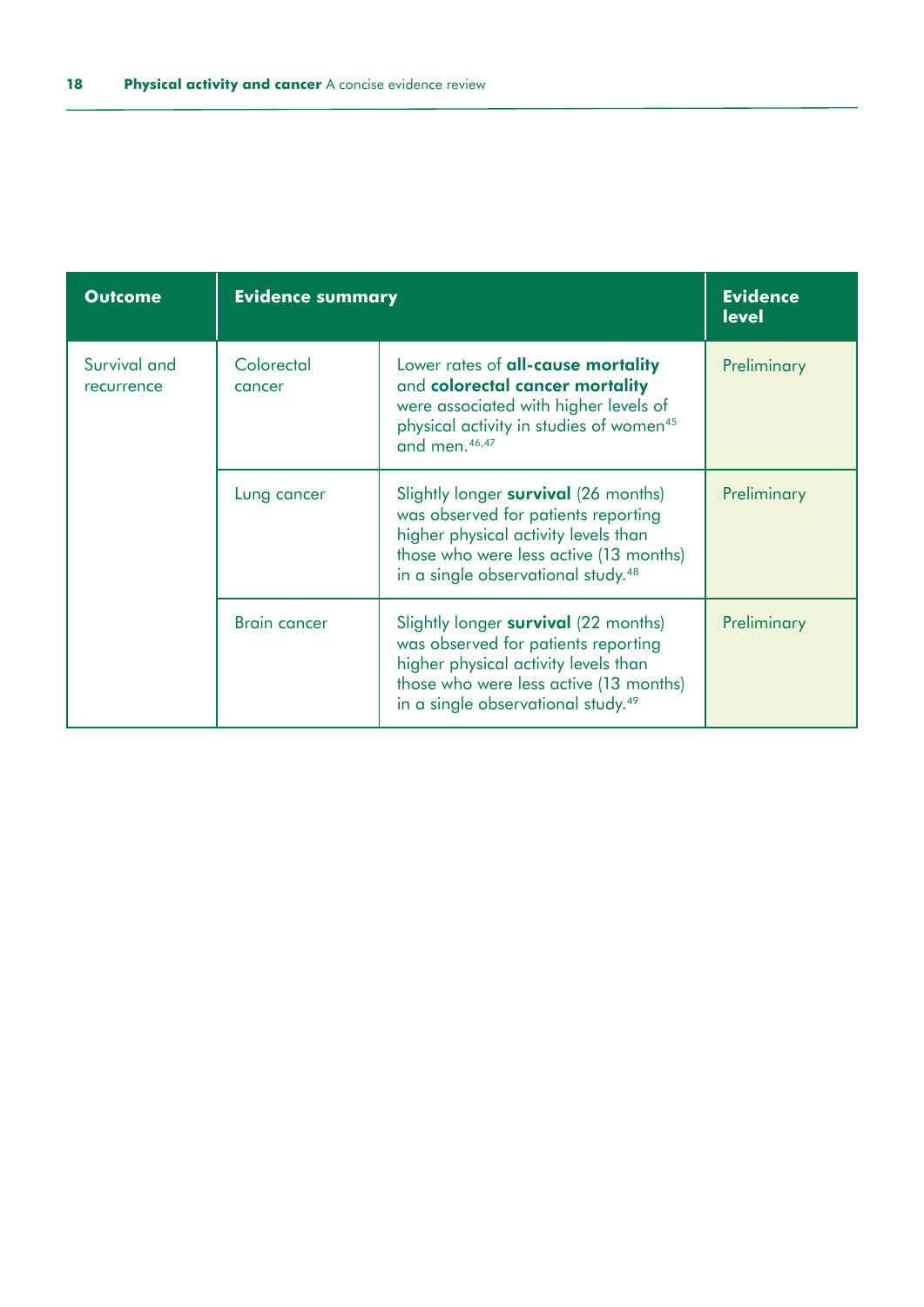| <b>Outcome</b>             | <b>Evidence summary</b> |                                                                                                                                                                                                                 | <b>Evidence</b><br><b>level</b> |
|----------------------------|-------------------------|-----------------------------------------------------------------------------------------------------------------------------------------------------------------------------------------------------------------|---------------------------------|
| Survival and<br>recurrence | Colorectal<br>cancer    | Lower rates of <b>all-cause mortality</b><br>and colorectal cancer mortality<br>were associated with higher levels of<br>physical activity in studies of women <sup>45</sup><br>and men. <sup>46,47</sup>       | Preliminary                     |
|                            | Lung cancer             | Slightly longer survival (26 months)<br>was observed for patients reporting<br>higher physical activity levels than<br>those who were less active (13 months)<br>in a single observational study. <sup>48</sup> | Preliminary                     |
|                            | <b>Brain cancer</b>     | Slightly longer survival (22 months)<br>was observed for patients reporting<br>higher physical activity levels than<br>those who were less active (13 months)<br>in a single observational study. <sup>49</sup> | Preliminary                     |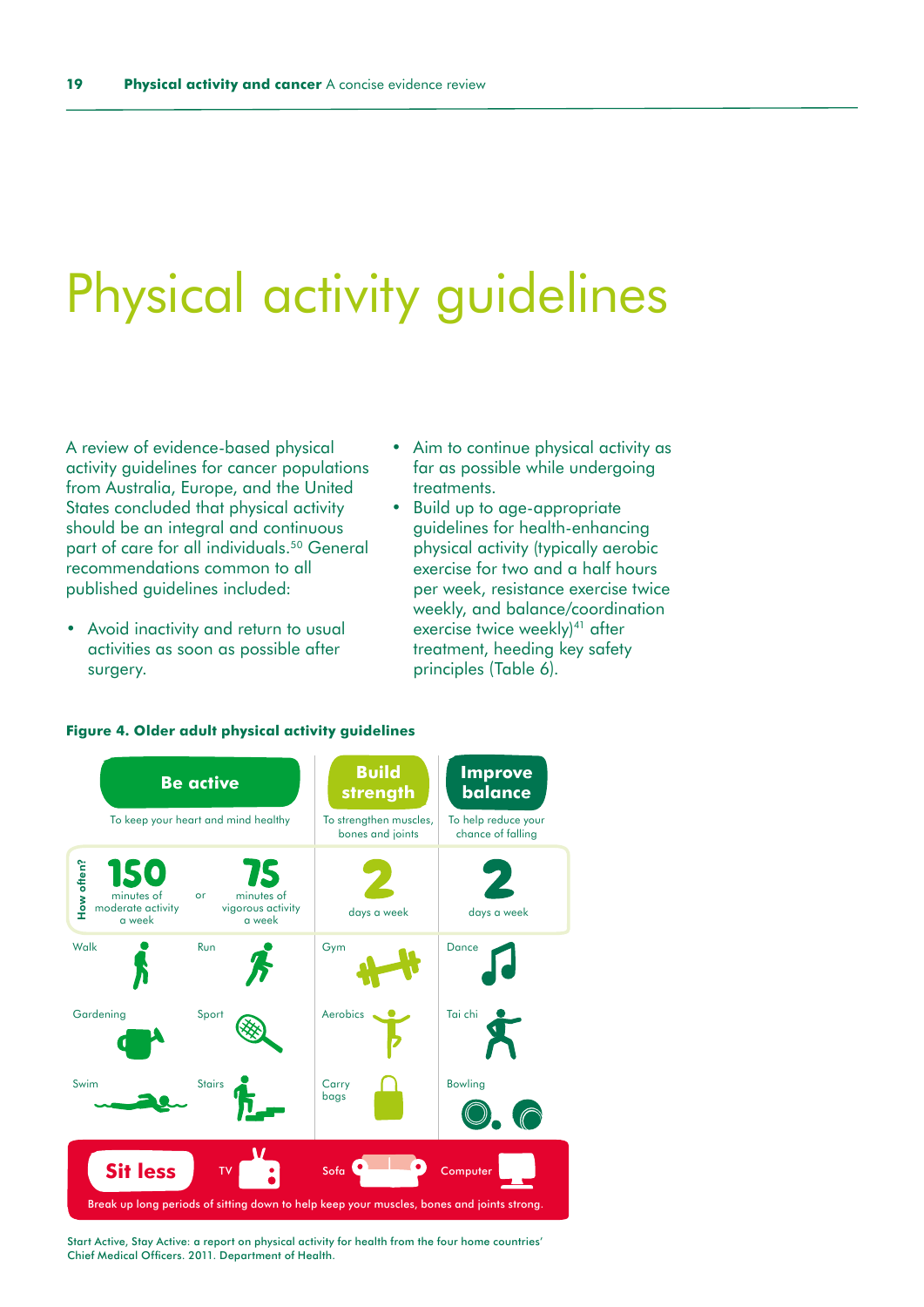# <span id="page-18-0"></span>Physical activity guidelines

A review of evidence-based physical activity guidelines for cancer populations from Australia, Europe, and the United States concluded that physical activity should be an integral and continuous part of care for all individuals.<sup>50</sup> General recommendations common to all published guidelines included:

- Avoid inactivity and return to usual activities as soon as possible after surgery.
- Aim to continue physical activity as far as possible while undergoing treatments.
- Build up to age-appropriate guidelines for health-enhancing physical activity (typically aerobic exercise for two and a half hours per week, resistance exercise twice weekly, and balance/coordination exercise twice weekly)<sup>41</sup> after treatment, heeding key safety principles (Table 6).



#### **Figure 4. Older adult physical activity guidelines**

Start Active, Stay Active: a report on physical activity for health from the four home countries' Chief Medical Officers. 2011. Department of Health.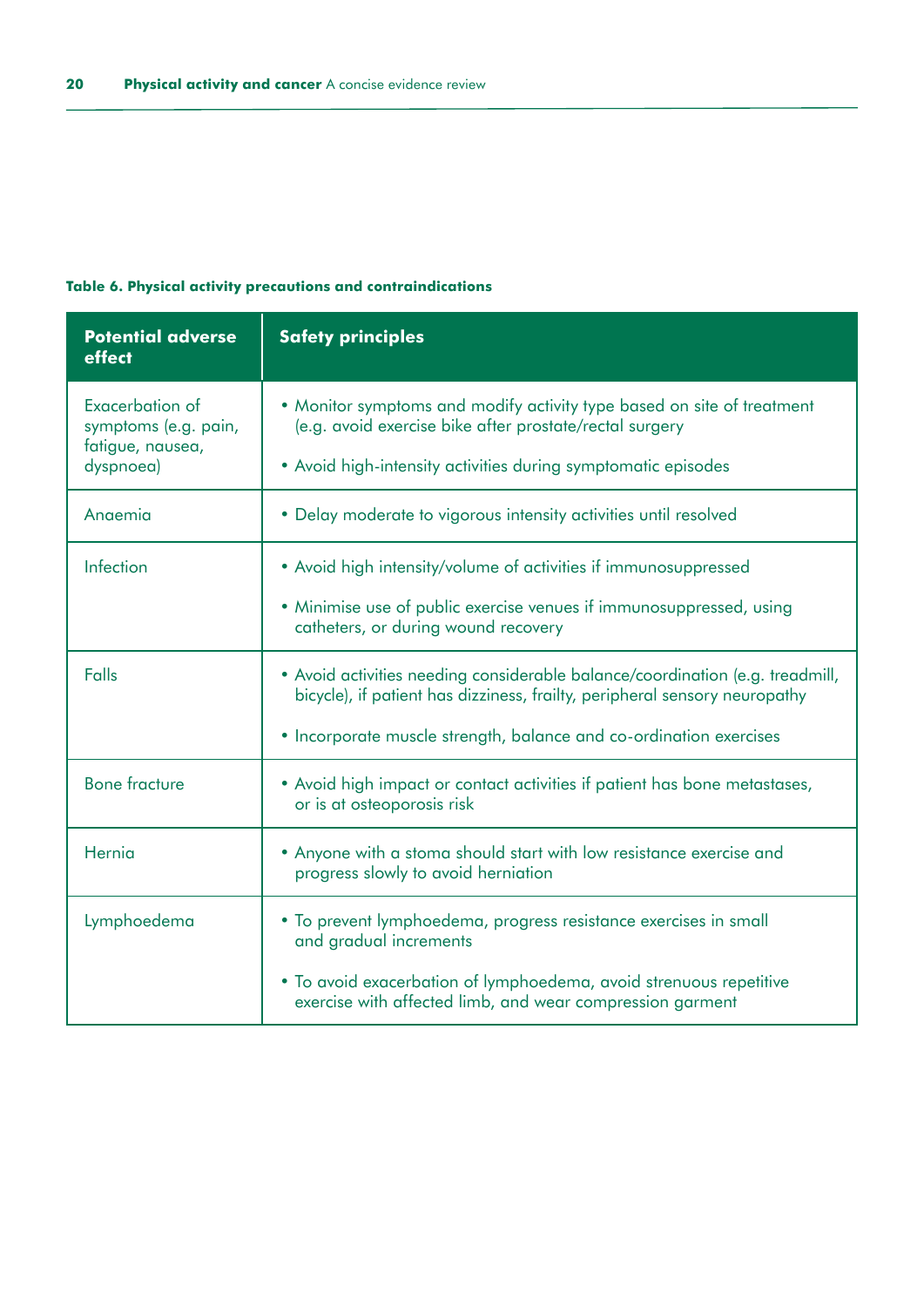### **Table 6. Physical activity precautions and contraindications**

| <b>Potential adverse</b><br>effect                                       | <b>Safety principles</b>                                                                                                                                                                           |
|--------------------------------------------------------------------------|----------------------------------------------------------------------------------------------------------------------------------------------------------------------------------------------------|
| Exacerbation of<br>symptoms (e.g. pain,<br>fatigue, nausea,<br>dyspnoea) | • Monitor symptoms and modify activity type based on site of treatment<br>(e.g. avoid exercise bike after prostate/rectal surgery<br>• Avoid high-intensity activities during symptomatic episodes |
|                                                                          |                                                                                                                                                                                                    |
| Anaemia                                                                  | • Delay moderate to vigorous intensity activities until resolved                                                                                                                                   |
| Infection                                                                | • Avoid high intensity/volume of activities if immunosuppressed                                                                                                                                    |
|                                                                          | • Minimise use of public exercise venues if immunosuppressed, using<br>catheters, or during wound recovery                                                                                         |
| Falls                                                                    | • Avoid activities needing considerable balance/coordination (e.g. treadmill,<br>bicycle), if patient has dizziness, frailty, peripheral sensory neuropathy                                        |
|                                                                          | • Incorporate muscle strength, balance and co-ordination exercises                                                                                                                                 |
| <b>Bone fracture</b>                                                     | • Avoid high impact or contact activities if patient has bone metastases,<br>or is at osteoporosis risk                                                                                            |
| Hernia                                                                   | . Anyone with a stoma should start with low resistance exercise and<br>progress slowly to avoid herniation                                                                                         |
| Lymphoedema                                                              | • To prevent lymphoedema, progress resistance exercises in small<br>and gradual increments                                                                                                         |
|                                                                          | • To avoid exacerbation of lymphoedema, avoid strenuous repetitive<br>exercise with affected limb, and wear compression garment                                                                    |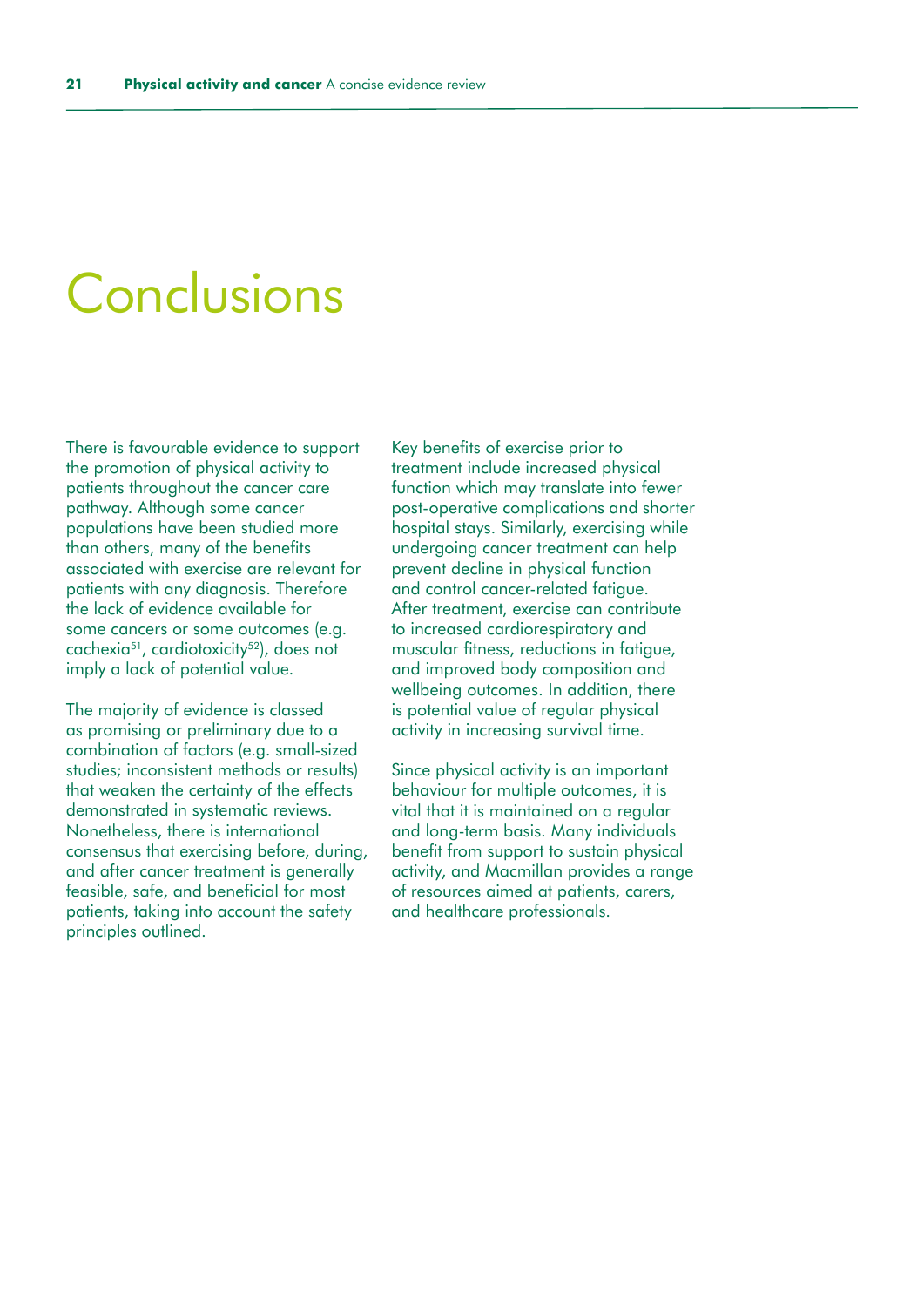### <span id="page-20-0"></span>Conclusions

There is favourable evidence to support the promotion of physical activity to patients throughout the cancer care pathway. Although some cancer populations have been studied more than others, many of the benefits associated with exercise are relevant for patients with any diagnosis. Therefore the lack of evidence available for some cancers or some outcomes (e.g. cachexia<sup>51</sup>, cardiotoxicity<sup>52</sup>), does not imply a lack of potential value.

The majority of evidence is classed as promising or preliminary due to a combination of factors (e.g. small-sized studies; inconsistent methods or results) that weaken the certainty of the effects demonstrated in systematic reviews. Nonetheless, there is international consensus that exercising before, during, and after cancer treatment is generally feasible, safe, and beneficial for most patients, taking into account the safety principles outlined.

Key benefits of exercise prior to treatment include increased physical function which may translate into fewer post-operative complications and shorter hospital stays. Similarly, exercising while undergoing cancer treatment can help prevent decline in physical function and control cancer-related fatigue. After treatment, exercise can contribute to increased cardiorespiratory and muscular fitness, reductions in fatigue, and improved body composition and wellbeing outcomes. In addition, there is potential value of regular physical activity in increasing survival time.

Since physical activity is an important behaviour for multiple outcomes, it is vital that it is maintained on a regular and long-term basis. Many individuals benefit from support to sustain physical activity, and Macmillan provides a range of resources aimed at patients, carers, and healthcare professionals.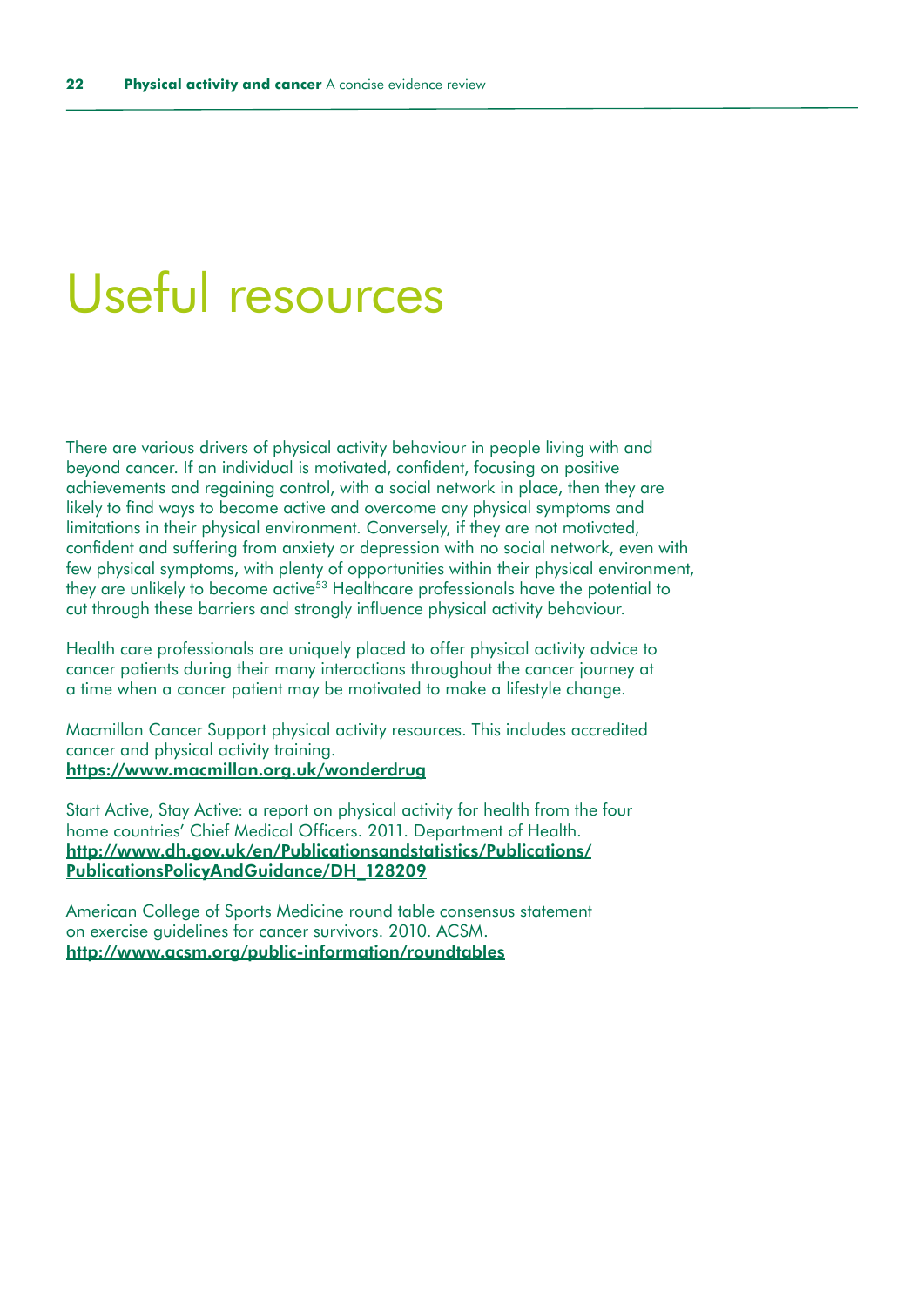### <span id="page-21-0"></span>Useful resources

There are various drivers of physical activity behaviour in people living with and beyond cancer. If an individual is motivated, confident, focusing on positive achievements and regaining control, with a social network in place, then they are likely to find ways to become active and overcome any physical symptoms and limitations in their physical environment. Conversely, if they are not motivated, confident and suffering from anxiety or depression with no social network, even with few physical symptoms, with plenty of opportunities within their physical environment, they are unlikely to become active<sup>53</sup> Healthcare professionals have the potential to cut through these barriers and strongly influence physical activity behaviour.

Health care professionals are uniquely placed to offer physical activity advice to cancer patients during their many interactions throughout the cancer journey at a time when a cancer patient may be motivated to make a lifestyle change.

Macmillan Cancer Support physical activity resources. This includes accredited cancer and physical activity training. <https://www.macmillan.org.uk/wonderdrug>

Start Active, Stay Active: a report on physical activity for health from the four home countries' Chief Medical Officers. 2011. Department of Health. [http://www.dh.gov.uk/en/Publicationsandstatistics/Publications/](http://www.dh.gov.uk/en/Publicationsandstatistics/Publications/PublicationsPolicyAndGuidance/DH_128209) [PublicationsPolicyAndGuidance/DH\\_128209](http://www.dh.gov.uk/en/Publicationsandstatistics/Publications/PublicationsPolicyAndGuidance/DH_128209)

American College of Sports Medicine round table consensus statement on exercise guidelines for cancer survivors. 2010. ACSM. <http://www.acsm.org/public-information/roundtables>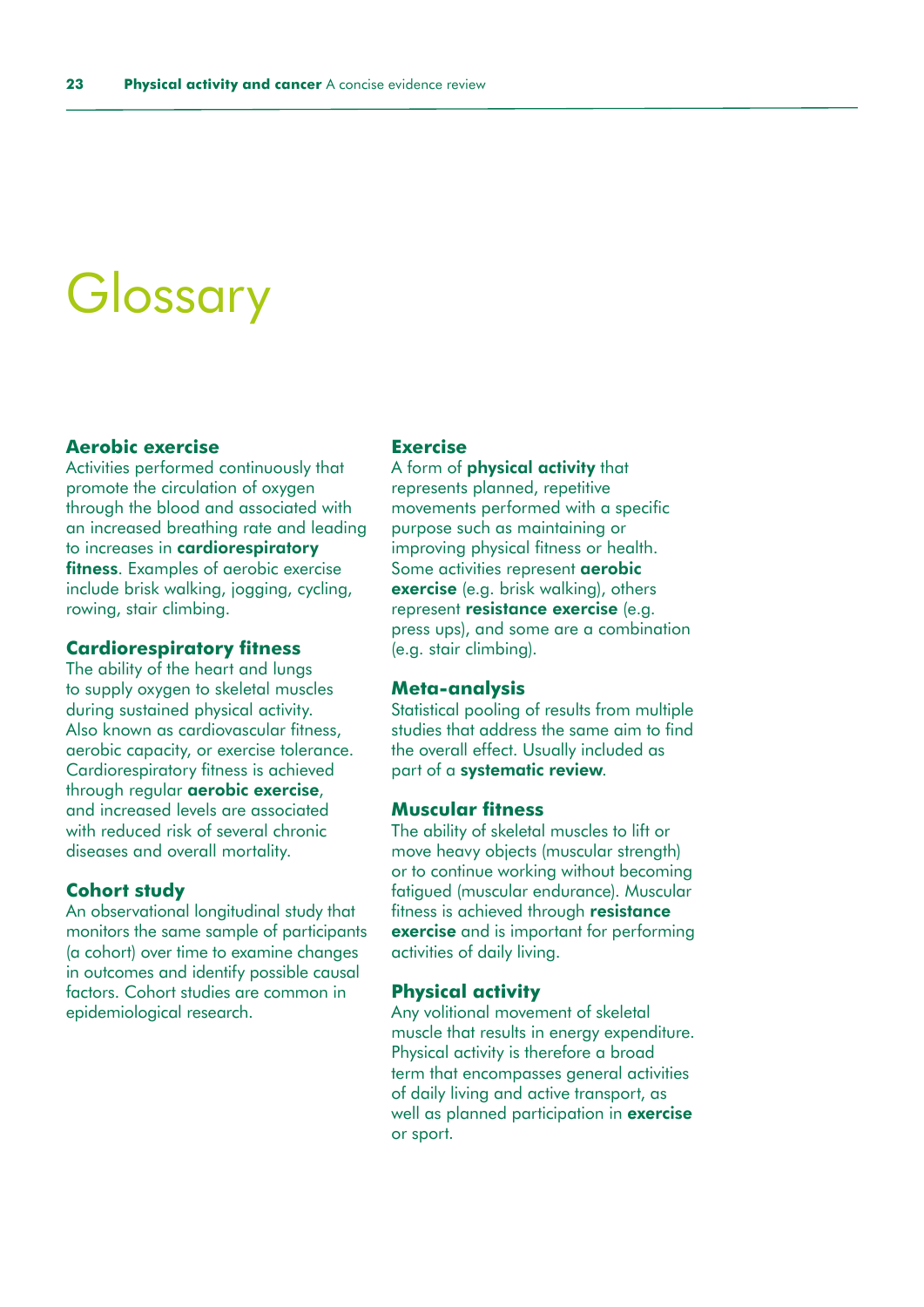# <span id="page-22-0"></span>**Glossary**

### **Aerobic exercise**

Activities performed continuously that promote the circulation of oxygen through the blood and associated with an increased breathing rate and leading to increases in cardiorespiratory fitness. Examples of aerobic exercise include brisk walking, jogging, cycling, rowing, stair climbing.

#### **Cardiorespiratory fitness**

The ability of the heart and lungs to supply oxygen to skeletal muscles during sustained physical activity. Also known as cardiovascular fitness, aerobic capacity, or exercise tolerance. Cardiorespiratory fitness is achieved through regular aerobic exercise, and increased levels are associated with reduced risk of several chronic diseases and overall mortality.

### **Cohort study**

An observational longitudinal study that monitors the same sample of participants (a cohort) over time to examine changes in outcomes and identify possible causal factors. Cohort studies are common in epidemiological research.

#### **Exercise**

A form of physical activity that represents planned, repetitive movements performed with a specific purpose such as maintaining or improving physical fitness or health. Some activities represent aerobic exercise (e.g. brisk walking), others represent resistance exercise (e.g. press ups), and some are a combination (e.g. stair climbing).

### **Meta-analysis**

Statistical pooling of results from multiple studies that address the same aim to find the overall effect. Usually included as part of a systematic review.

### **Muscular fitness**

The ability of skeletal muscles to lift or move heavy objects (muscular strength) or to continue working without becoming fatigued (muscular endurance). Muscular fitness is achieved through resistance exercise and is important for performing activities of daily living.

#### **Physical activity**

Any volitional movement of skeletal muscle that results in energy expenditure. Physical activity is therefore a broad term that encompasses general activities of daily living and active transport, as well as planned participation in **exercise** or sport.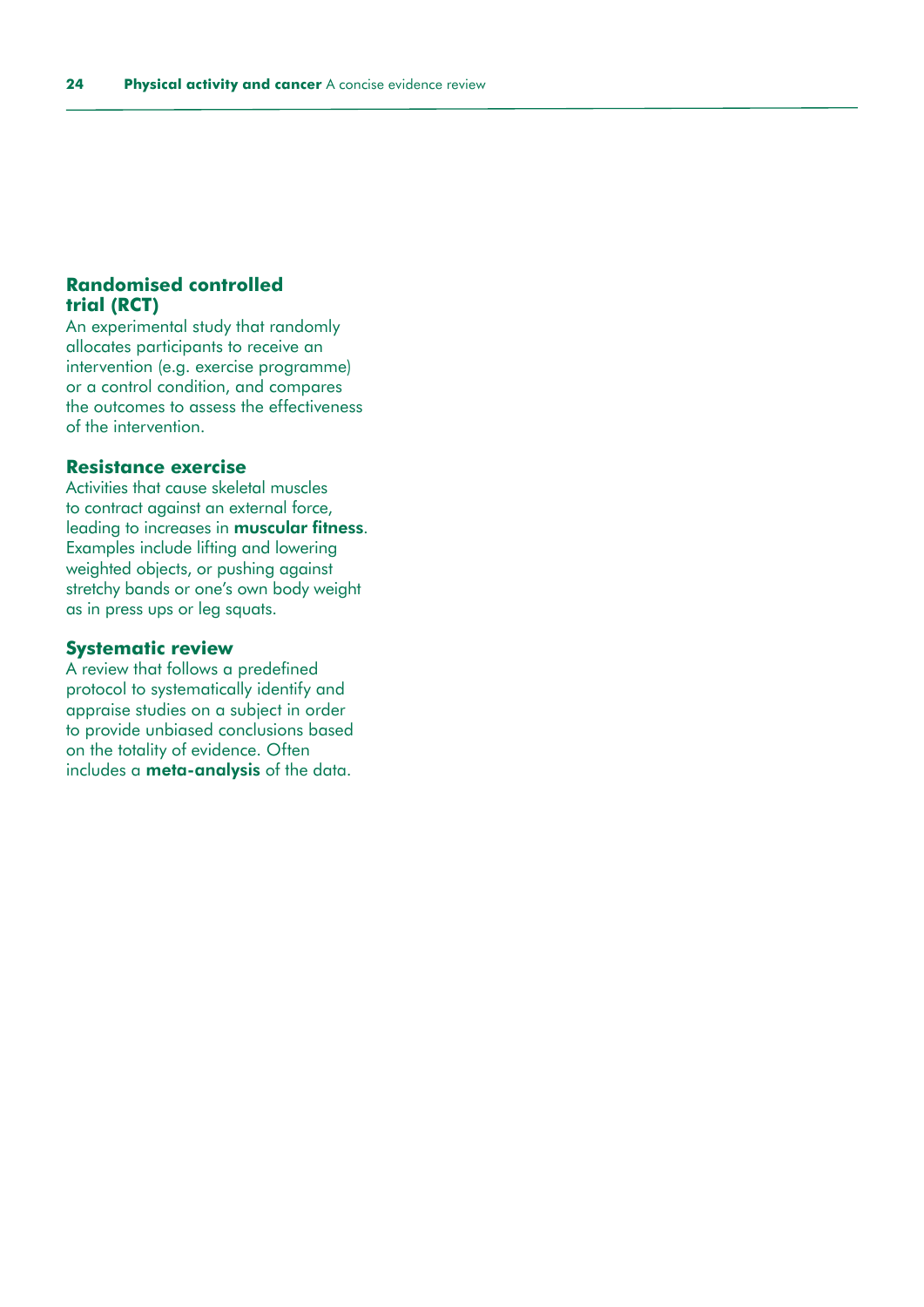### **Randomised controlled trial (RCT)**

An experimental study that randomly allocates participants to receive an intervention (e.g. exercise programme) or a control condition, and compares the outcomes to assess the effectiveness of the intervention.

### **Resistance exercise**

Activities that cause skeletal muscles to contract against an external force, leading to increases in muscular fitness. Examples include lifting and lowering weighted objects, or pushing against stretchy bands or one's own body weight as in press ups or leg squats.

### **Systematic review**

A review that follows a predefined protocol to systematically identify and appraise studies on a subject in order to provide unbiased conclusions based on the totality of evidence. Often includes a meta-analysis of the data.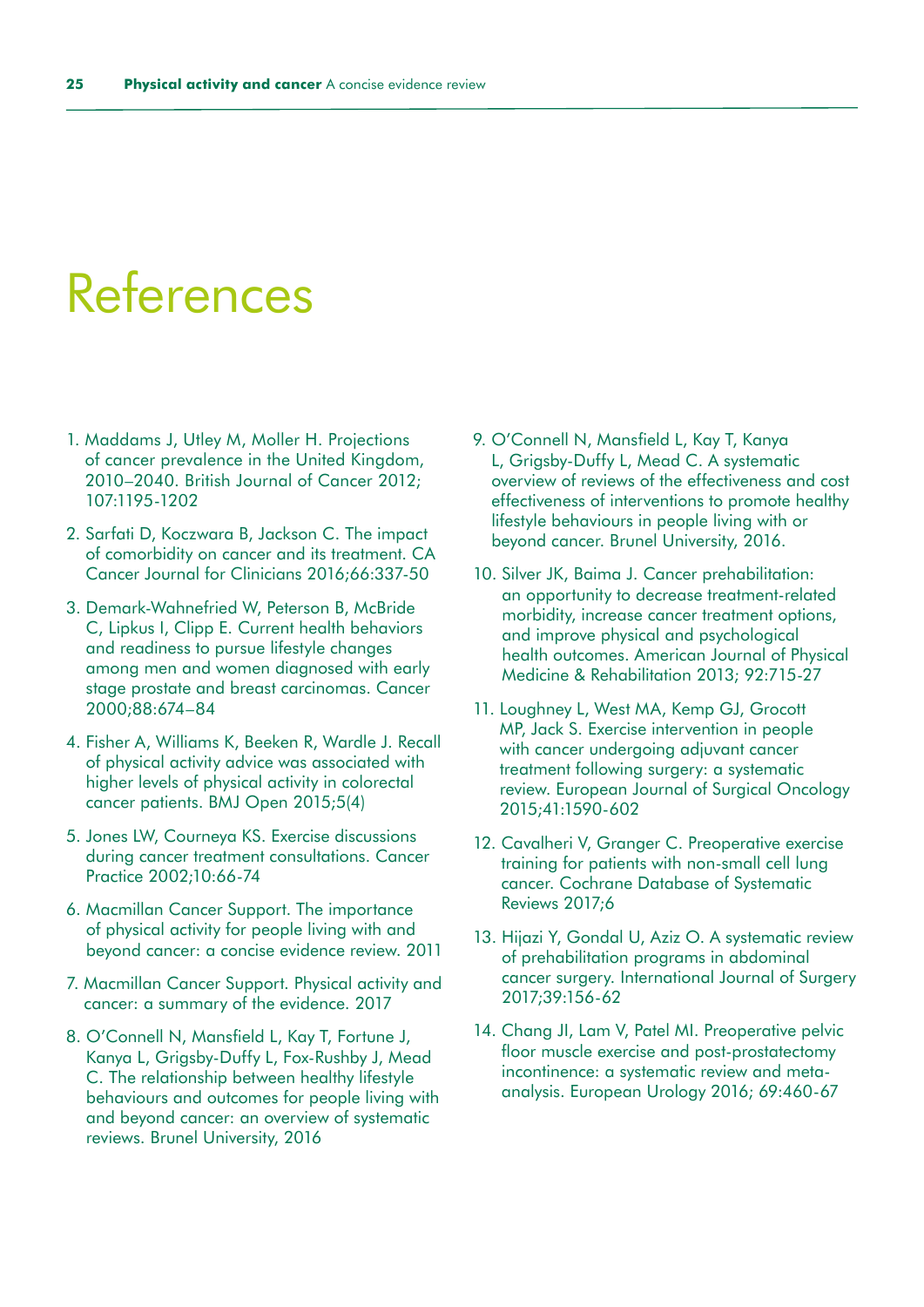# <span id="page-24-0"></span>References

- 1. Maddams J, Utley M, Moller H. Projections of cancer prevalence in the United Kingdom, 2010–2040. British Journal of Cancer 2012; 107:1195-1202
- 2. Sarfati D, Koczwara B, Jackson C. The impact of comorbidity on cancer and its treatment. CA Cancer Journal for Clinicians 2016;66:337-50
- 3. Demark-Wahnefried W, Peterson B, McBride C, Lipkus I, Clipp E. Current health behaviors and readiness to pursue lifestyle changes among men and women diagnosed with early stage prostate and breast carcinomas. Cancer 2000;88:674–84
- 4. Fisher A, Williams K, Beeken R, Wardle J. Recall of physical activity advice was associated with higher levels of physical activity in colorectal cancer patients. BMJ Open 2015;5(4)
- 5. Jones LW, Courneya KS. Exercise discussions during cancer treatment consultations. Cancer Practice 2002;10:66-74
- 6. Macmillan Cancer Support. The importance of physical activity for people living with and beyond cancer: a concise evidence review. 2011
- 7. Macmillan Cancer Support. Physical activity and cancer: a summary of the evidence. 2017
- 8. O'Connell N, Mansfield L, Kay T, Fortune J, Kanya L, Grigsby-Duffy L, Fox-Rushby J, Mead C. The relationship between healthy lifestyle behaviours and outcomes for people living with and beyond cancer: an overview of systematic reviews. Brunel University, 2016
- 9. O'Connell N, Mansfield L, Kay T, Kanya L, Grigsby-Duffy L, Mead C. A systematic overview of reviews of the effectiveness and cost effectiveness of interventions to promote healthy lifestyle behaviours in people living with or beyond cancer. Brunel University, 2016.
- 10. Silver JK, Baima J. Cancer prehabilitation: an opportunity to decrease treatment-related morbidity, increase cancer treatment options, and improve physical and psychological health outcomes. American Journal of Physical Medicine & Rehabilitation 2013; 92:715-27
- 11. Loughney L, West MA, Kemp GJ, Grocott MP, Jack S. Exercise intervention in people with cancer undergoing adjuvant cancer treatment following surgery: a systematic review. European Journal of Surgical Oncology 2015;41:1590-602
- 12. Cavalheri V, Granger C. Preoperative exercise training for patients with non-small cell lung cancer. Cochrane Database of Systematic Reviews 2017;6
- 13. Hijazi Y, Gondal U, Aziz O. A systematic review of prehabilitation programs in abdominal cancer surgery. International Journal of Surgery 2017;39:156-62
- 14. Chang JI, Lam V, Patel MI. Preoperative pelvic floor muscle exercise and post-prostatectomy incontinence: a systematic review and metaanalysis. European Urology 2016; 69:460-67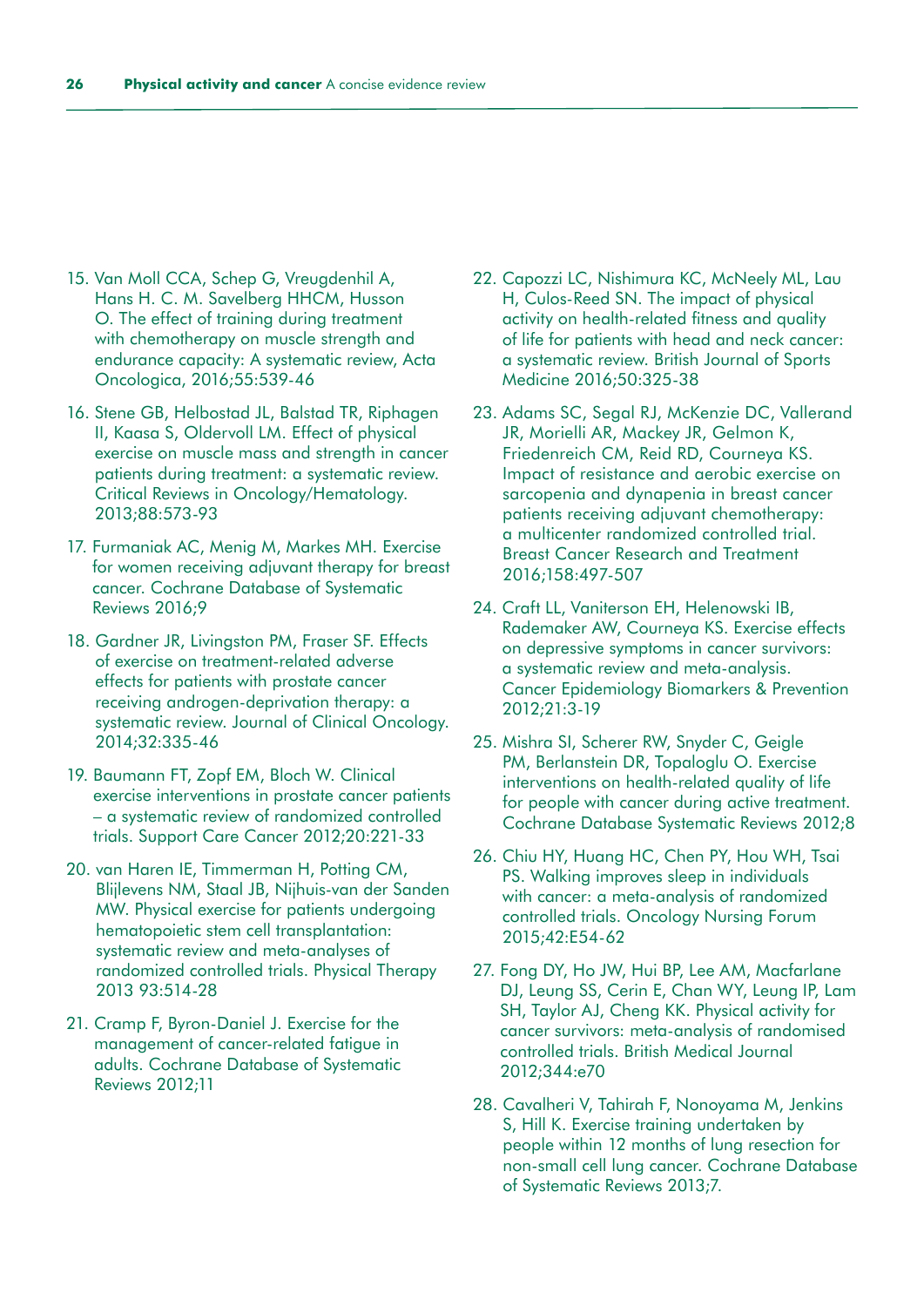- 15. Van Moll CCA, Schep G, Vreugdenhil A, Hans H. C. M. Savelberg HHCM, Husson O. The effect of training during treatment with chemotherapy on muscle strength and endurance capacity: A systematic review, Acta Oncologica, 2016;55:539-46
- 16. Stene GB, Helbostad JL, Balstad TR, Riphagen II, Kaasa S, Oldervoll LM. Effect of physical exercise on muscle mass and strength in cancer patients during treatment: a systematic review. Critical Reviews in Oncology/Hematology. 2013;88:573-93
- 17. Furmaniak AC, Menig M, Markes MH. Exercise for women receiving adjuvant therapy for breast cancer. Cochrane Database of Systematic Reviews 2016;9
- 18. Gardner JR, Livingston PM, Fraser SF. Effects of exercise on treatment-related adverse effects for patients with prostate cancer receiving androgen-deprivation therapy: a systematic review. Journal of Clinical Oncology. 2014;32:335-46
- 19. Baumann FT, Zopf EM, Bloch W. Clinical exercise interventions in prostate cancer patients – a systematic review of randomized controlled trials. Support Care Cancer 2012;20:221-33
- 20. van Haren IE, Timmerman H, Potting CM, Blijlevens NM, Staal JB, Nijhuis-van der Sanden MW. Physical exercise for patients undergoing hematopoietic stem cell transplantation: systematic review and meta-analyses of randomized controlled trials. Physical Therapy 2013 93:514-28
- 21. Cramp F, Byron-Daniel J. Exercise for the management of cancer-related fatigue in adults. Cochrane Database of Systematic Reviews 2012;11
- 22. Capozzi LC, Nishimura KC, McNeely ML, Lau H, Culos-Reed SN. The impact of physical activity on health-related fitness and quality of life for patients with head and neck cancer: a systematic review. British Journal of Sports Medicine 2016;50:325-38
- 23. Adams SC, Segal RJ, McKenzie DC, Vallerand JR, Morielli AR, Mackey JR, Gelmon K, Friedenreich CM, Reid RD, Courneya KS. Impact of resistance and aerobic exercise on sarcopenia and dynapenia in breast cancer patients receiving adjuvant chemotherapy: a multicenter randomized controlled trial. Breast Cancer Research and Treatment 2016;158:497-507
- 24. Craft LL, Vaniterson EH, Helenowski IB, Rademaker AW, Courneya KS. Exercise effects on depressive symptoms in cancer survivors: a systematic review and meta-analysis. Cancer Epidemiology Biomarkers & Prevention 2012;21:3-19
- 25. Mishra SI, Scherer RW, Snyder C, Geigle PM, Berlanstein DR, Topaloglu O. Exercise interventions on health-related quality of life for people with cancer during active treatment. Cochrane Database Systematic Reviews 2012;8
- 26. Chiu HY, Huang HC, Chen PY, Hou WH, Tsai PS. Walking improves sleep in individuals with cancer: a meta-analysis of randomized controlled trials. Oncology Nursing Forum 2015;42:E54-62
- 27. Fong DY, Ho JW, Hui BP, Lee AM, Macfarlane DJ, Leung SS, Cerin E, Chan WY, Leung IP, Lam SH, Taylor AJ, Cheng KK. Physical activity for cancer survivors: meta-analysis of randomised controlled trials. British Medical Journal 2012;344:e70
- 28. Cavalheri V, Tahirah F, Nonoyama M, Jenkins S, Hill K. Exercise training undertaken by people within 12 months of lung resection for non-small cell lung cancer. Cochrane Database of Systematic Reviews 2013;7.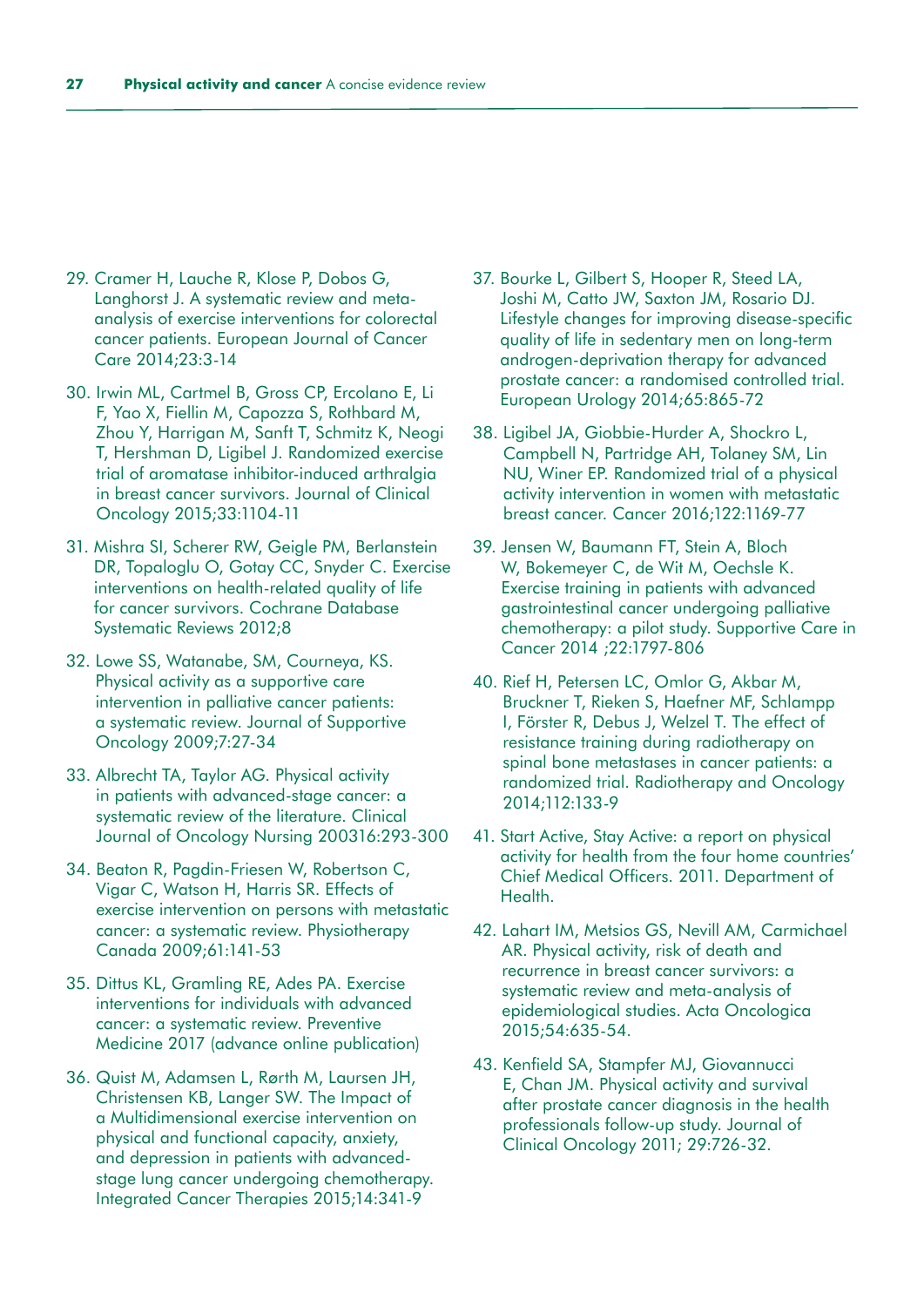- 29. Cramer H, Lauche R, Klose P, Dobos G, Langhorst J. A systematic review and metaanalysis of exercise interventions for colorectal cancer patients. European Journal of Cancer Care 2014;23:3-14
- 30. Irwin ML, Cartmel B, Gross CP, Ercolano E, Li F, Yao X, Fiellin M, Capozza S, Rothbard M, Zhou Y, Harrigan M, Sanft T, Schmitz K, Neogi T, Hershman D, Ligibel J. Randomized exercise trial of aromatase inhibitor-induced arthralgia in breast cancer survivors. Journal of Clinical Oncology 2015;33:1104-11
- 31. Mishra SI, Scherer RW, Geigle PM, Berlanstein DR, Topaloglu O, Gotay CC, Snyder C. Exercise interventions on health-related quality of life for cancer survivors. Cochrane Database Systematic Reviews 2012;8
- 32. Lowe SS, Watanabe, SM, Courneya, KS. Physical activity as a supportive care intervention in palliative cancer patients: a systematic review. Journal of Supportive Oncology 2009;7:27-34
- 33. Albrecht TA, Taylor AG. Physical activity in patients with advanced-stage cancer: a systematic review of the literature. Clinical Journal of Oncology Nursing 200316:293-300
- 34. Beaton R, Pagdin-Friesen W, Robertson C, Vigar C, Watson H, Harris SR. Effects of exercise intervention on persons with metastatic cancer: a systematic review. Physiotherapy Canada 2009;61:141-53
- 35. Dittus KL, Gramling RE, Ades PA. Exercise interventions for individuals with advanced cancer: a systematic review. Preventive Medicine 2017 (advance online publication)
- 36. Quist M, Adamsen L, Rørth M, Laursen JH, Christensen KB, Langer SW. The Impact of a Multidimensional exercise intervention on physical and functional capacity, anxiety, and depression in patients with advancedstage lung cancer undergoing chemotherapy. Integrated Cancer Therapies 2015;14:341-9
- 37. Bourke L, Gilbert S, Hooper R, Steed LA, Joshi M, Catto JW, Saxton JM, Rosario DJ. Lifestyle changes for improving disease-specific quality of life in sedentary men on long-term androgen-deprivation therapy for advanced prostate cancer: a randomised controlled trial. European Urology 2014;65:865-72
- 38. Ligibel JA, Giobbie-Hurder A, Shockro L, Campbell N, Partridge AH, Tolaney SM, Lin NU, Winer EP. Randomized trial of a physical activity intervention in women with metastatic breast cancer. Cancer 2016;122:1169-77
- 39. Jensen W, Baumann FT, Stein A, Bloch W, Bokemeyer C, de Wit M, Oechsle K. Exercise training in patients with advanced gastrointestinal cancer undergoing palliative chemotherapy: a pilot study. Supportive Care in Cancer 2014 ;22:1797-806
- 40. Rief H, Petersen LC, Omlor G, Akbar M, Bruckner T, Rieken S, Haefner MF, Schlampp I, Förster R, Debus J, Welzel T. The effect of resistance training during radiotherapy on spinal bone metastases in cancer patients: a randomized trial. Radiotherapy and Oncology 2014;112:133-9
- 41. Start Active, Stay Active: a report on physical activity for health from the four home countries' Chief Medical Officers. 2011. Department of Health.
- 42. Lahart IM, Metsios GS, Nevill AM, Carmichael AR. Physical activity, risk of death and recurrence in breast cancer survivors: a systematic review and meta-analysis of epidemiological studies. Acta Oncologica 2015;54:635-54.
- 43. Kenfield SA, Stampfer MJ, Giovannucci E, Chan JM. Physical activity and survival after prostate cancer diagnosis in the health professionals follow-up study. Journal of Clinical Oncology 2011; 29:726-32.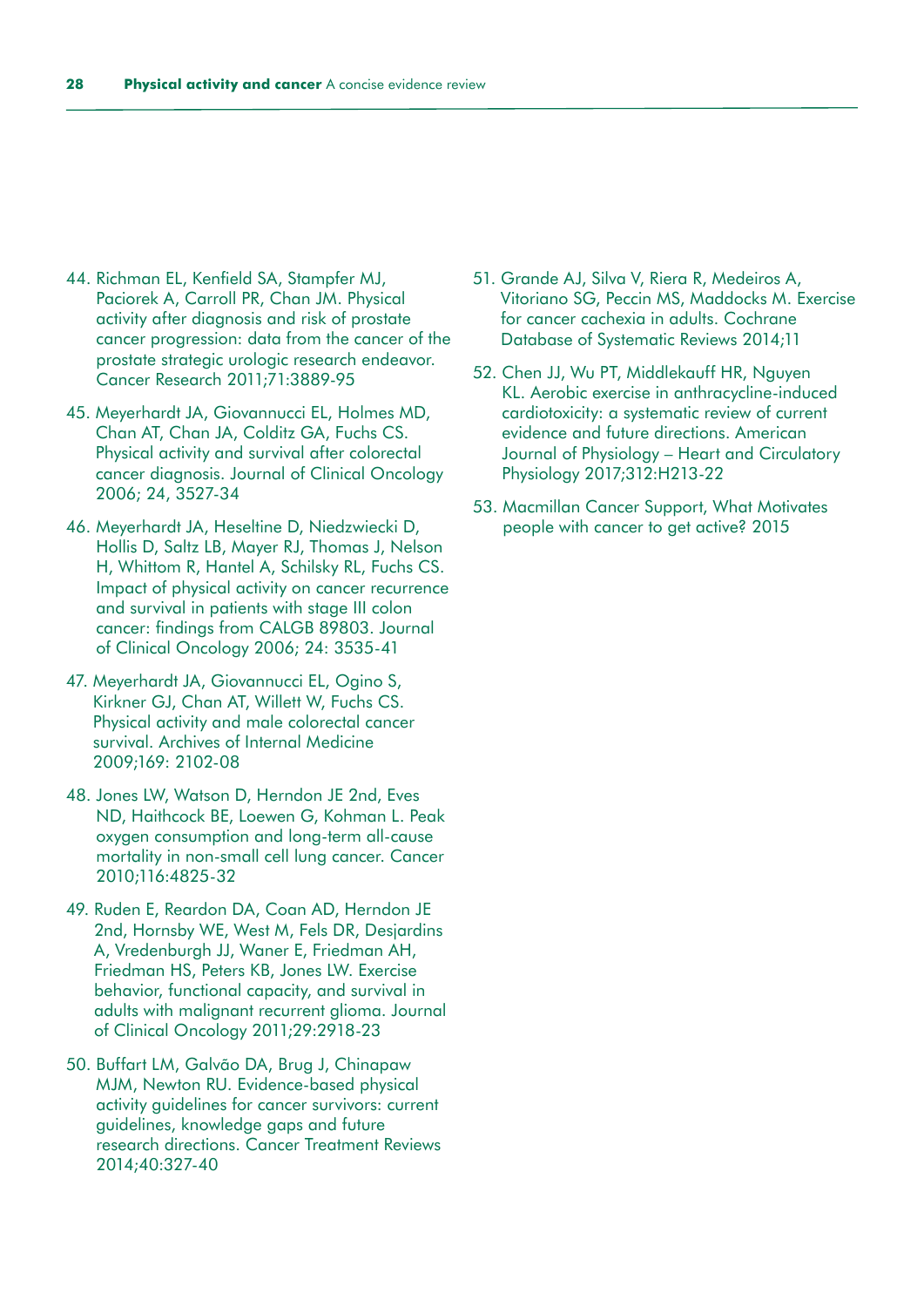- 44. Richman EL, Kenfield SA, Stampfer MJ, Paciorek A, Carroll PR, Chan JM. Physical activity after diagnosis and risk of prostate cancer progression: data from the cancer of the prostate strategic urologic research endeavor. Cancer Research 2011;71:3889-95
- 45. Meyerhardt JA, Giovannucci EL, Holmes MD, Chan AT, Chan JA, Colditz GA, Fuchs CS. Physical activity and survival after colorectal cancer diagnosis. Journal of Clinical Oncology 2006; 24, 3527-34
- 46. Meyerhardt JA, Heseltine D, Niedzwiecki D, Hollis D, Saltz LB, Mayer RJ, Thomas J, Nelson H, Whittom R, Hantel A, Schilsky RL, Fuchs CS. Impact of physical activity on cancer recurrence and survival in patients with stage III colon cancer: findings from CALGB 89803. Journal of Clinical Oncology 2006; 24: 3535-41
- 47. Meyerhardt JA, Giovannucci EL, Ogino S, Kirkner GJ, Chan AT, Willett W, Fuchs CS. Physical activity and male colorectal cancer survival. Archives of Internal Medicine 2009;169: 2102-08
- 48. Jones LW, Watson D, Herndon JE 2nd, Eves ND, Haithcock BE, Loewen G, Kohman L. Peak oxygen consumption and long-term all-cause mortality in non-small cell lung cancer. Cancer 2010;116:4825-32
- 49. Ruden E, Reardon DA, Coan AD, Herndon JE 2nd, Hornsby WE, West M, Fels DR, Desjardins A, Vredenburgh JJ, Waner E, Friedman AH, Friedman HS, Peters KB, Jones LW. Exercise behavior, functional capacity, and survival in adults with malignant recurrent glioma. Journal of Clinical Oncology 2011;29:2918-23
- 50. Buffart LM, Galvão DA, Brug J, Chinapaw MJM, Newton RU. Evidence-based physical activity guidelines for cancer survivors: current guidelines, knowledge gaps and future research directions. Cancer Treatment Reviews 2014;40:327-40
- 51. Grande AJ, Silva V, Riera R, Medeiros A, Vitoriano SG, Peccin MS, Maddocks M. Exercise for cancer cachexia in adults. Cochrane Database of Systematic Reviews 2014;11
- 52. Chen JJ, Wu PT, Middlekauff HR, Nguyen KL. Aerobic exercise in anthracycline-induced cardiotoxicity: a systematic review of current evidence and future directions. American Journal of Physiology – Heart and Circulatory Physiology 2017;312:H213-22
- 53. Macmillan Cancer Support, What Motivates people with cancer to get active? 2015